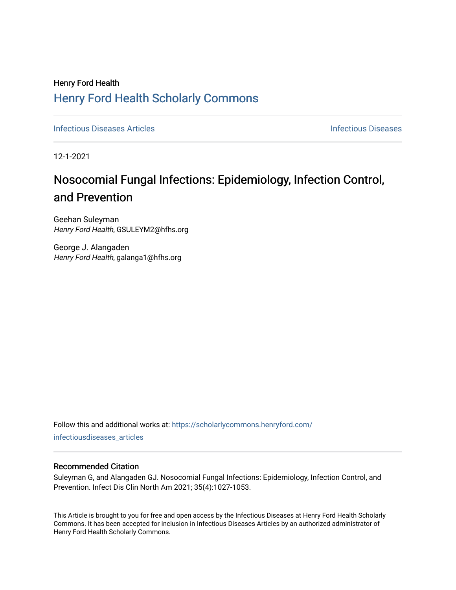## Henry Ford Health [Henry Ford Health Scholarly Commons](https://scholarlycommons.henryford.com/)

**[Infectious Diseases](https://scholarlycommons.henryford.com/infectiousdiseases) Articles Infectious Diseases Infectious Diseases** 

12-1-2021

# Nosocomial Fungal Infections: Epidemiology, Infection Control, and Prevention

Geehan Suleyman Henry Ford Health, GSULEYM2@hfhs.org

George J. Alangaden Henry Ford Health, galanga1@hfhs.org

Follow this and additional works at: [https://scholarlycommons.henryford.com/](https://scholarlycommons.henryford.com/infectiousdiseases_articles?utm_source=scholarlycommons.henryford.com%2Finfectiousdiseases_articles%2F165&utm_medium=PDF&utm_campaign=PDFCoverPages) [infectiousdiseases\\_articles](https://scholarlycommons.henryford.com/infectiousdiseases_articles?utm_source=scholarlycommons.henryford.com%2Finfectiousdiseases_articles%2F165&utm_medium=PDF&utm_campaign=PDFCoverPages) 

#### Recommended Citation

Suleyman G, and Alangaden GJ. Nosocomial Fungal Infections: Epidemiology, Infection Control, and Prevention. Infect Dis Clin North Am 2021; 35(4):1027-1053.

This Article is brought to you for free and open access by the Infectious Diseases at Henry Ford Health Scholarly Commons. It has been accepted for inclusion in Infectious Diseases Articles by an authorized administrator of Henry Ford Health Scholarly Commons.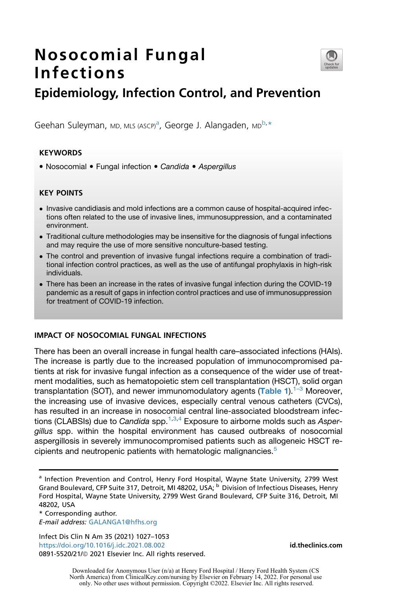## Nosocomial Fungal Infections



### Epidemiology, Infection Control, and Prevention

Geeh[a](#page-1-0)n Suleyman, MD, MLS (ASCP)<sup>a</sup>, George J. Alangaden, MD<sup>[b,](#page-1-1)[\\*](#page-1-2)</sup>

#### **KEYWORDS**

Nosocomial Fungal infection *Candida Aspergillus*

#### KEY POINTS

- Invasive candidiasis and mold infections are a common cause of hospital-acquired infections often related to the use of invasive lines, immunosuppression, and a contaminated environment.
- Traditional culture methodologies may be insensitive for the diagnosis of fungal infections and may require the use of more sensitive nonculture-based testing.
- The control and prevention of invasive fungal infections require a combination of traditional infection control practices, as well as the use of antifungal prophylaxis in high-risk individuals.
- There has been an increase in the rates of invasive fungal infection during the COVID-19 pandemic as a result of gaps in infection control practices and use of immunosuppression for treatment of COVID-19 infection.

#### IMPACT OF NOSOCOMIAL FUNGAL INFECTIONS

There has been an overall increase in fungal health care–associated infections (HAIs). The increase is partly due to the increased population of immunocompromised patients at risk for invasive fungal infection as a consequence of the wider use of treatment modalities, such as hematopoietic stem cell transplantation (HSCT), solid organ transplantation (SOT), and newer immunomodulatory agents ([Table 1](#page-2-0)).<sup>1–3</sup> Moreover, the increasing use of invasive devices, especially central venous catheters (CVCs), has resulted in an increase in nosocomial central line-associated bloodstream infections (CLABSIs) due to *Candida* spp.[1](#page-22-0)[,3](#page-22-1),[4](#page-22-2) Exposure to airborne molds such as *Aspergillus* spp. within the hospital environment has caused outbreaks of nosocomial aspergillosis in severely immunocompromised patients such as allogeneic HSCT re-cipients and neutropenic patients with hematologic malignancies.<sup>[5](#page-22-3)</sup>

<span id="page-1-2"></span>\* Corresponding author. E-mail address: [GALANGA1@hfhs.org](mailto:GALANGA1@hfhs.org)

Infect Dis Clin N Am 35 (2021) 1027–1053 <https://doi.org/10.1016/j.idc.2021.08.002> **[id.theclinics.com](http://id.theclinics.com)** 0891-5520/21/@ 2021 Elsevier Inc. All rights reserved.

<span id="page-1-1"></span><span id="page-1-0"></span><sup>&</sup>lt;sup>a</sup> Infection Prevention and Control, Henry Ford Hospital, Wayne State University, 2799 West Grand Boulevard, CFP Suite 317, Detroit, MI 48202, USA; b Division of Infectious Diseases, Henry Ford Hospital, Wayne State University, 2799 West Grand Boulevard, CFP Suite 316, Detroit, MI 48202, USA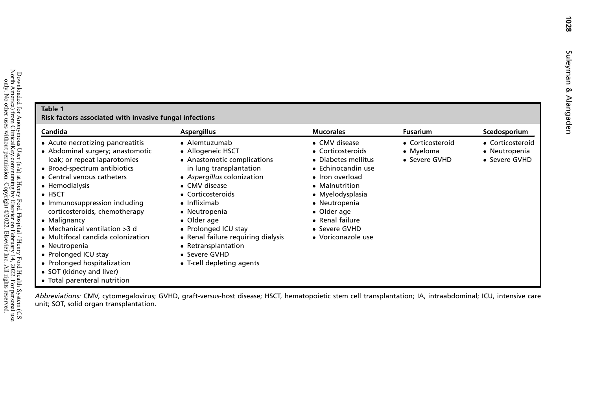### <span id="page-2-0"></span>Table 1Risk factors associated with invasive fungal infections

| Candida                                                                                                                                                                                                                                                                                                                                                                                                                                                                                              | <b>Aspergillus</b>                                                                                                                                                                                                                                                                                                                                          | <b>Mucorales</b>                                                                                                                                                                                                                   | <b>Fusarium</b>                                | Scedosporium                                       |
|------------------------------------------------------------------------------------------------------------------------------------------------------------------------------------------------------------------------------------------------------------------------------------------------------------------------------------------------------------------------------------------------------------------------------------------------------------------------------------------------------|-------------------------------------------------------------------------------------------------------------------------------------------------------------------------------------------------------------------------------------------------------------------------------------------------------------------------------------------------------------|------------------------------------------------------------------------------------------------------------------------------------------------------------------------------------------------------------------------------------|------------------------------------------------|----------------------------------------------------|
| • Acute necrotizing pancreatitis<br>• Abdominal surgery; anastomotic<br>leak; or repeat laparotomies<br>• Broad-spectrum antibiotics<br>• Central venous catheters<br>• Hemodialysis<br>$\bullet$ HSCT<br>• Immunosuppression including<br>corticosteroids, chemotherapy<br>• Malignancy<br>• Mechanical ventilation $>3$ d<br>• Multifocal candida colonization<br>• Neutropenia<br>• Prolonged ICU stay<br>• Prolonged hospitalization<br>• SOT (kidney and liver)<br>• Total parenteral nutrition | • Alemtuzumab<br>• Allogeneic HSCT<br>• Anastomotic complications<br>in lung transplantation<br>• Aspergillus colonization<br>• CMV disease<br>• Corticosteroids<br>$\bullet$ Infliximab<br>• Neutropenia<br>• Older age<br>• Prolonged ICU stay<br>• Renal failure requiring dialysis<br>• Retransplantation<br>• Severe GVHD<br>• T-cell depleting agents | • CMV disease<br>• Corticosteroids<br>• Diabetes mellitus<br>• Echinocandin use<br>• Iron overload<br>• Malnutrition<br>• Myelodysplasia<br>• Neutropenia<br>• Older age<br>• Renal failure<br>• Severe GVHD<br>• Voriconazole use | • Corticosteroid<br>• Myeloma<br>• Severe GVHD | • Corticosteroid<br>• Neutropenia<br>• Severe GVHD |

Abbreviations: CMV, cytomegalovirus; GVHD, graft-versus-host disease; HSCT, hematopoietic stem cell transplantation; IA, intraabdominal; ICU, intensive care unit; SOT, solid organ transplantation.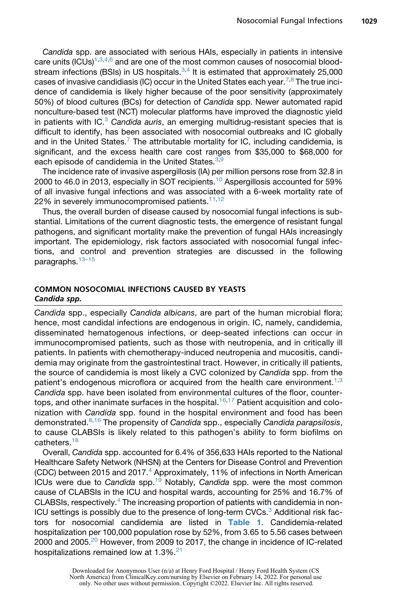*Candida* spp. are associated with serious HAIs, especially in patients in intensive care units (ICUs) $1,3,4,6$  $1,3,4,6$  $1,3,4,6$  $1,3,4,6$  and are one of the most common causes of nosocomial bloodstream infections (BSIs) in US hospitals. $3,4$  $3,4$  It is estimated that approximately 25,000 cases of invasive candidiasis (IC) occur in the United States each year.<sup>[7](#page-22-5)[,8](#page-22-6)</sup> The true incidence of candidemia is likely higher because of the poor sensitivity (approximately 50%) of blood cultures (BCs) for detection of *Candida* spp. Newer automated rapid nonculture-based test (NCT) molecular platforms have improved the diagnostic yield in patients with IC[.3](#page-22-1) *Candida auris*, an emerging multidrug-resistant species that is difficult to identify, has been associated with nosocomial outbreaks and IC globally and in the United States.<sup>[7](#page-22-5)</sup> The attributable mortality for IC, including candidemia, is significant, and the excess health care cost ranges from \$35,000 to \$68,000 for each episode of candidemia in the United States.<sup>[3](#page-22-1)[,9](#page-22-7)</sup>

The incidence rate of invasive aspergillosis (IA) per million persons rose from 32.8 in 2000 to 46.0 in 2013, especially in SOT recipients.<sup>[10](#page-22-8)</sup> Aspergillosis accounted for 59% of all invasive fungal infections and was associated with a 6-week mortality rate of 22% in severely immunocompromised patients.<sup>[11](#page-22-9),[12](#page-22-10)</sup>

Thus, the overall burden of disease caused by nosocomial fungal infections is substantial. Limitations of the current diagnostic tests, the emergence of resistant fungal pathogens, and significant mortality make the prevention of fungal HAIs increasingly important. The epidemiology, risk factors associated with nosocomial fungal infections, and control and prevention strategies are discussed in the following paragraphs.<sup>13-15</sup>

#### COMMON NOSOCOMIAL INFECTIONS CAUSED BY YEASTS Candida spp.

*Candida* spp., especially *Candida albicans*, are part of the human microbial flora; hence, most candidal infections are endogenous in origin. IC, namely, candidemia, disseminated hematogenous infections, or deep-seated infections can occur in immunocompromised patients, such as those with neutropenia, and in critically ill patients. In patients with chemotherapy-induced neutropenia and mucositis, candidemia may originate from the gastrointestinal tract. However, in critically ill patients, the source of candidemia is most likely a CVC colonized by *Candida* spp. from the patient's endogenous microflora or acquired from the health care environment.<sup>[1,](#page-22-0)[3](#page-22-1)</sup> *Candida* spp. have been isolated from environmental cultures of the floor, counter-tops, and other inanimate surfaces in the hospital.<sup>[16](#page-23-1)[,17](#page-23-2)</sup> Patient acquisition and colonization with *Candida* spp. found in the hospital environment and food has been demonstrated.[8](#page-22-6)[,16](#page-23-1) The propensity of *Candida* spp., especially *Candida parapsilosis*, to cause CLABSIs is likely related to this pathogen's ability to form biofilms on catheters.<sup>[18](#page-23-3)</sup>

Overall, *Candida* spp. accounted for 6.4% of 356,633 HAIs reported to the National Healthcare Safety Network (NHSN) at the Centers for Disease Control and Prevention (CDC) between 2015 and 2017.<sup>[4](#page-22-2)</sup> Approximately, 11% of infections in North American ICUs were due to *Candida* spp[.19](#page-23-4) Notably, *Candida* spp. were the most common cause of CLABSIs in the ICU and hospital wards, accounting for 25% and 16.7% of CLABSIs, respectively.<sup>[4](#page-22-2)</sup> The increasing proportion of patients with candidemia in non-ICU settings is possibly due to the presence of long-term CVCs.<sup>[3](#page-22-1)</sup> Additional risk factors for nosocomial candidemia are listed in [Table 1](#page-2-0). Candidemia-related hospitalization per 100,000 population rose by 52%, from 3.65 to 5.56 cases between [20](#page-23-5)00 and 2005.<sup>20</sup> However, from 2009 to 2017, the change in incidence of IC-related hospitalizations remained low at  $1.3\%$ <sup>21</sup>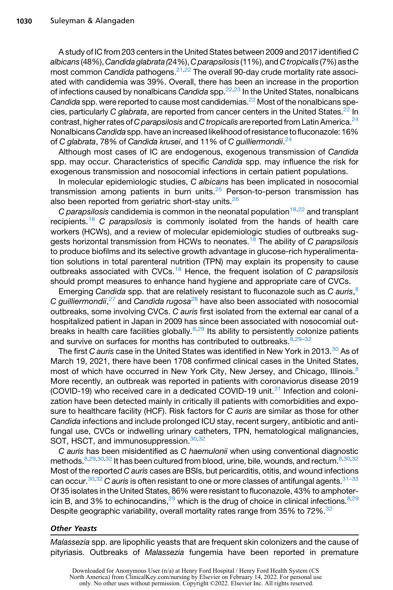A study of IC from 203 centers in the United States between 2009 and 2017 identified *C albicans* (48%),*Candida glabrata (*24%),*C parapsilosis* (11%), and *C tropicalis* (7%) as the most common *Candida* pathogens.[21](#page-23-6),[22](#page-23-7) The overall 90-day crude mortality rate associated with candidemia was 39%. Overall, there has been an increase in the proportion of infections caused by nonalbicans *Candida* spp[.22](#page-23-7)[,23](#page-23-8) In the United States, nonalbicans *Candida* spp. were reported to cause most candidemias.[22](#page-23-7) Most of the nonalbicans species, particularly *C glabrata*, are reported from cancer centers in the United States.<sup>22</sup> In contrast, higher rates of*C parapsilosis* and *C tropicalis* are reported from Latin America.[24](#page-23-9) Nonalbicans*Candida* spp. have an increased likelihood of resistance tofluconazole: 16% of *C glabrata*, 78% of *Candida krusei*, and 11% of *C guilliermondii*. [24](#page-23-9)

Although most cases of IC are endogenous, exogenous transmission of *Candida* spp. may occur. Characteristics of specific *Candida* spp. may influence the risk for exogenous transmission and nosocomial infections in certain patient populations.

In molecular epidemiologic studies, *C albicans* has been implicated in nosocomial transmission among patients in burn units.<sup>[25](#page-23-10)</sup> Person-to-person transmission has also been reported from geriatric short-stay units.<sup>[26](#page-23-11)</sup>

*C parapsilosis* candidemia is common in the neonatal population<sup>[18,](#page-23-3)[22](#page-23-7)</sup> and transplant recipients.[18](#page-23-3) *C parapsilosis* is commonly isolated from the hands of health care workers (HCWs), and a review of molecular epidemiologic studies of outbreaks suggests horizontal transmission from HCWs to neonates.[18](#page-23-3) The ability of *C parapsilosis* to produce biofilms and its selective growth advantage in glucose-rich hyperalimentation solutions in total parenteral nutrition (TPN) may explain its propensity to cause outbreaks associated with CVCs.[18](#page-23-3) Hence, the frequent isolation of *C parapsilosis* should prompt measures to enhance hand hygiene and appropriate care of CVCs.

Emerging *Candida* spp. that are relatively resistant to fluconazole such as *C auris*, [8](#page-22-6) *C guilliermondii*, [27](#page-23-12) and *Candida rugosa*[28](#page-23-13) have also been associated with nosocomial outbreaks, some involving CVCs. *C auris* first isolated from the external ear canal of a hospitalized patient in Japan in 2009 has since been associated with nosocomial outbreaks in health care facilities globally. $8,29$  $8,29$  Its ability to persistently colonize patients and survive on surfaces for months has contributed to outbreaks. [8](#page-22-6),29-32

The first *C auris* case in the United States was identified in New York in 2013.[30](#page-23-15) As of March 19, 2021, there have been 1708 confirmed clinical cases in the United States, most of which have occurred in New York City, New Jersey, and Chicago, Illinois.<sup>[8](#page-22-6)</sup> More recently, an outbreak was reported in patients with coronaviorus disease 2019 (COVID-19) who received care in a dedicated COVID-19 unit.<sup>[31](#page-24-0)</sup> Infection and colonization have been detected mainly in critically ill patients with comorbidities and exposure to healthcare facility (HCF). Risk factors for *C auris* are similar as those for other *Candida* infections and include prolonged ICU stay, recent surgery, antibiotic and antifungal use, CVCs or indwelling urinary catheters, TPN, hematological malignancies, SOT, HSCT, and immunosuppression.<sup>[30](#page-23-15)[,32](#page-24-1)</sup>

*C auris* has been misidentified as *C haemulonii* when using conventional diagnostic methods.<sup>8,[29](#page-23-14)[,30](#page-23-15)[,32](#page-24-1)</sup> It has been cultured from blood, urine, bile, wounds, and rectum.<sup>8,[30](#page-23-15),[32](#page-24-1)</sup> Most of the reported *C auris* cases are BSIs, but pericarditis, otitis, and wound infections can occur[.30,](#page-23-15)[32](#page-24-1) *C auris* is often resistant to one or more classes of antifungal agents[.31–33](#page-24-0) Of 35 isolates in the United States, 86% were resistant to fluconazole, 43% to amphotericin B, and 3% to echinocandins,  $29$  which is the drug of choice in clinical infections.  $8,29$  $8,29$ Despite geographic variability, overall mortality rates range from 35% to 72%.<sup>32</sup>

#### Other Yeasts

*Malassezia* spp. are lipophilic yeasts that are frequent skin colonizers and the cause of pityriasis. Outbreaks of *Malassezia* fungemia have been reported in premature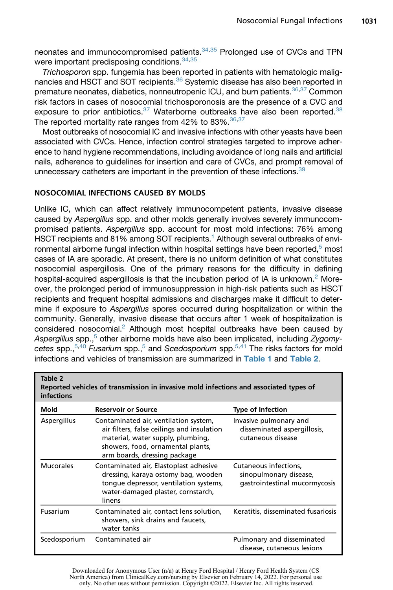neonates and immunocompromised patients.<sup>[34](#page-24-2)[,35](#page-24-3)</sup> Prolonged use of CVCs and TPN were important predisposing conditions.<sup>[34](#page-24-2)[,35](#page-24-3)</sup>

*Trichosporon* spp. fungemia has been reported in patients with hematologic malig-nancies and HSCT and SOT recipients.<sup>[36](#page-24-4)</sup> Systemic disease has also been reported in premature neonates, diabetics, nonneutropenic ICU, and burn patients.<sup>[36](#page-24-4)[,37](#page-24-5)</sup> Common risk factors in cases of nosocomial trichosporonosis are the presence of a CVC and exposure to prior antibiotics. $37$  Waterborne outbreaks have also been reported. $38$ The reported mortality rate ranges from 42% to 83%. [36,](#page-24-4) [37](#page-24-5)

Most outbreaks of nosocomial IC and invasive infections with other yeasts have been associated with CVCs. Hence, infection control strategies targeted to improve adherence to hand hygiene recommendations, including avoidance of long nails and artificial nails, adherence to guidelines for insertion and care of CVCs, and prompt removal of unnecessary catheters are important in the prevention of these infections.<sup>39</sup>

#### NOSOCOMIAL INFECTIONS CAUSED BY MOLDS

<span id="page-5-0"></span>Table 2

Unlike IC, which can affect relatively immunocompetent patients, invasive disease caused by *Aspergillus* spp. and other molds generally involves severely immunocompromised patients. *Aspergillus* spp. account for most mold infections: 76% among HSCT recipients and 81% among SOT recipients.<sup>1</sup> Although several outbreaks of environmental airborne fungal infection within hospital settings have been reported, $5$  most cases of IA are sporadic. At present, there is no uniform definition of what constitutes nosocomial aspergillosis. One of the primary reasons for the difficulty in defining hospital-acquired aspergillosis is that the incubation period of IA is unknown.<sup>2</sup> Moreover, the prolonged period of immunosuppression in high-risk patients such as HSCT recipients and frequent hospital admissions and discharges make it difficult to determine if exposure to *Aspergillus* spores occurred during hospitalization or within the community. Generally, invasive disease that occurs after 1 week of hospitalization is considered nosocomial.<sup>2</sup> Although most hospital outbreaks have been caused by Aspergillus spp.,<sup>5</sup> other airborne molds have also been implicated, including Zygomy*cetes* spp.[,5](#page-22-3)[,40](#page-24-8) *Fusarium* spp.[,5](#page-22-3) and *Scedosporium* spp[.5](#page-22-3),[41](#page-24-9) The risks factors for mold infections and vehicles of transmission are summarized in [Table 1](#page-2-0) and [Table 2](#page-5-0).

| <b>infections</b> |                                                                                                                                                                                               |                                                                                  |
|-------------------|-----------------------------------------------------------------------------------------------------------------------------------------------------------------------------------------------|----------------------------------------------------------------------------------|
| Mold              | <b>Reservoir or Source</b>                                                                                                                                                                    | <b>Type of Infection</b>                                                         |
| Aspergillus       | Contaminated air, ventilation system,<br>air filters, false ceilings and insulation<br>material, water supply, plumbing,<br>showers, food, ornamental plants,<br>arm boards, dressing package | Invasive pulmonary and<br>disseminated aspergillosis,<br>cutaneous disease       |
| <b>Mucorales</b>  | Contaminated air, Elastoplast adhesive<br>dressing, karaya ostomy bag, wooden<br>tonque depressor, ventilation systems,<br>water-damaged plaster, cornstarch,<br>linens                       | Cutaneous infections,<br>sinopulmonary disease,<br>gastrointestinal mucormycosis |
| Fusarium          | Contaminated air, contact lens solution,<br>showers, sink drains and faucets,<br>water tanks                                                                                                  | Keratitis, disseminated fusariosis                                               |
| Scedosporium      | Contaminated air                                                                                                                                                                              | Pulmonary and disseminated<br>disease, cutaneous lesions                         |

Reported vehicles of transmission in invasive mold infections and associated types of

Downloaded for Anonymous User (n/a) at Henry Ford Hospital / Henry Ford Health System (CS North America) from ClinicalKey.com/nursing by Elsevier on February 14, 2022. For personal use only. No other uses without permission. Copyright ©2022. Elsevier Inc. All rights reserved.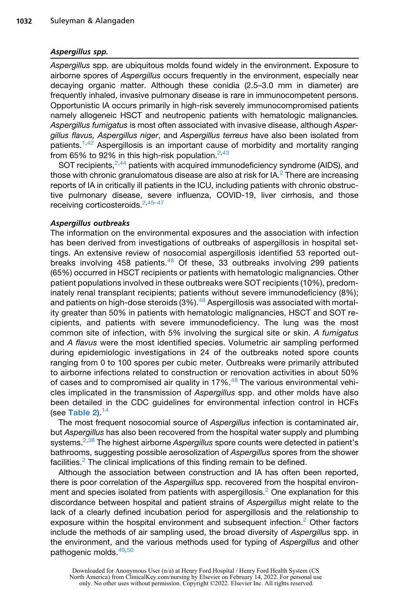#### Aspergillus spp.

*Aspergillus* spp. are ubiquitous molds found widely in the environment. Exposure to airborne spores of *Aspergillus* occurs frequently in the environment, especially near decaying organic matter. Although these conidia (2.5–3.0 mm in diameter) are frequently inhaled, invasive pulmonary disease is rare in immunocompetent persons. Opportunistic IA occurs primarily in high-risk severely immunocompromised patients namely allogeneic HSCT and neutropenic patients with hematologic malignancies*. Aspergillus fumigatus* is most often associated with invasive disease, although *Aspergillus flavus, Aspergillus niger*, and *Aspergillus terreus* have also been isolated from patients.[1,](#page-22-0)[42](#page-24-10) Aspergillosis is an important cause of morbidity and mortality ranging from 65% to 92% in this high-risk population. $2,43$  $2,43$ 

SOT recipients,<sup>[2,](#page-22-11)[44](#page-24-12)</sup> patients with acquired immunodeficiency syndrome (AIDS), and those with chronic granulomatous disease are also at risk for  $IA.^2$  $IA.^2$  There are increasing reports of IA in critically ill patients in the ICU, including patients with chronic obstructive pulmonary disease, severe influenza, COVID-19, liver cirrhosis, and those receiving corticosteroids.<sup>[2](#page-22-11),45-47</sup>

#### Aspergillus outbreaks

The information on the environmental exposures and the association with infection has been derived from investigations of outbreaks of aspergillosis in hospital settings. An extensive review of nosocomial aspergillosis identified 53 reported outbreaks involving 458 patients. $48$  Of these, 33 outbreaks involving 299 patients (65%) occurred in HSCT recipients or patients with hematologic malignancies. Other patient populations involved in these outbreaks were SOT recipients (10%), predominately renal transplant recipients; patients without severe immunodeficiency (8%); and patients on high-dose steroids  $(3\%)$ .<sup>[48](#page-24-14)</sup> Aspergillosis was associated with mortality greater than 50% in patients with hematologic malignancies, HSCT and SOT recipients, and patients with severe immunodeficiency. The lung was the most common site of infection, with 5% involving the surgical site or skin. *A fumigatus* and *A flavus* were the most identified species. Volumetric air sampling performed during epidemiologic investigations in 24 of the outbreaks noted spore counts ranging from 0 to 100 spores per cubic meter. Outbreaks were primarily attributed to airborne infections related to construction or renovation activities in about 50% of cases and to compromised air quality in 17%.[48](#page-24-14) The various environmental vehicles implicated in the transmission of *Aspergillus* spp. and other molds have also been detailed in the CDC guidelines for environmental infection control in HCFs (see [Table 2](#page-5-0)). $14$ 

The most frequent nosocomial source of *Aspergillus* infection is contaminated air, but *Aspergillus* has also been recovered from the hospital water supply and plumbing systems.[2,](#page-22-11)[38](#page-24-6) The highest airborne *Aspergillus* spore counts were detected in patient's bathrooms, suggesting possible aerosolization of *Aspergillus* spores from the shower facilities. $2$  The clinical implications of this finding remain to be defined.

Although the association between construction and IA has often been reported, there is poor correlation of the *Aspergillus* spp. recovered from the hospital environ-ment and species isolated from patients with aspergillosis.<sup>[2](#page-22-11)</sup> One explanation for this discordance between hospital and patient strains of *Aspergillus* might relate to the lack of a clearly defined incubation period for aspergillosis and the relationship to exposure within the hospital environment and subsequent infection.<sup>[2](#page-22-11)</sup> Other factors include the methods of air sampling used, the broad diversity of *Aspergillus* spp. in the environment, and the various methods used for typing of *Aspergillus* and other pathogenic molds.<sup>[49](#page-24-15)[,50](#page-24-16)</sup>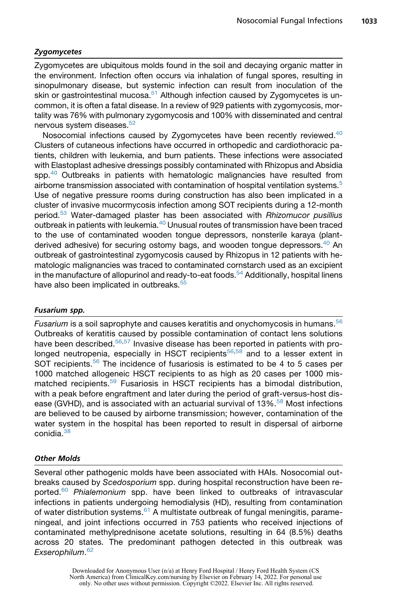#### Zygomycetes

Zygomycetes are ubiquitous molds found in the soil and decaying organic matter in the environment. Infection often occurs via inhalation of fungal spores, resulting in sinopulmonary disease, but systemic infection can result from inoculation of the skin or gastrointestinal mucosa.<sup>[51](#page-25-0)</sup> Although infection caused by Zygomycetes is uncommon, it is often a fatal disease. In a review of 929 patients with zygomycosis, mortality was 76% with pulmonary zygomycosis and 100% with disseminated and central nervous system diseases.<sup>[52](#page-25-1)</sup>

Nosocomial infections caused by Zygomycetes have been recently reviewed.<sup>[40](#page-24-8)</sup> Clusters of cutaneous infections have occurred in orthopedic and cardiothoracic patients, children with leukemia, and burn patients. These infections were associated with Elastoplast adhesive dressings possibly contaminated with Rhizopus and Absidia spp.<sup>[40](#page-24-8)</sup> Outbreaks in patients with hematologic malignancies have resulted from airborne transmission associated with contamination of hospital ventilation systems.<sup>[5](#page-22-3)</sup> Use of negative pressure rooms during construction has also been implicated in a cluster of invasive mucormycosis infection among SOT recipients during a 12-month period.[53](#page-25-2) Water-damaged plaster has been associated with *Rhizomucor pusillius* outbreak in patients with leukemia.<sup>[40](#page-24-8)</sup> Unusual routes of transmission have been traced to the use of contaminated wooden tongue depressors, nonsterile karaya (plantderived adhesive) for securing ostomy bags, and wooden tongue depressors.<sup>40</sup> An outbreak of gastrointestinal zygomycosis caused by Rhizopus in 12 patients with hematologic malignancies was traced to contaminated cornstarch used as an excipient in the manufacture of allopurinol and ready-to-eat foods.<sup>[54](#page-25-3)</sup> Additionally, hospital linens have also been implicated in outbreaks.<sup>[55](#page-25-4)</sup>

#### Fusarium spp.

*Fusarium* is a soil saprophyte and causes keratitis and onychomycosis in humans.[56](#page-25-5) Outbreaks of keratitis caused by possible contamination of contact lens solutions have been described.<sup>[56](#page-25-5)[,57](#page-25-6)</sup> Invasive disease has been reported in patients with pro-longed neutropenia, especially in HSCT recipients<sup>[56,](#page-25-5)[58](#page-25-7)</sup> and to a lesser extent in SOT recipients.<sup>[56](#page-25-5)</sup> The incidence of fusariosis is estimated to be 4 to 5 cases per 1000 matched allogeneic HSCT recipients to as high as 20 cases per 1000 mis-matched recipients.<sup>[59](#page-25-8)</sup> Fusariosis in HSCT recipients has a bimodal distribution, with a peak before engraftment and later during the period of graft-versus-host disease (GVHD), and is associated with an actuarial survival of  $13\%$ <sup>[58](#page-25-7)</sup> Most infections are believed to be caused by airborne transmission; however, contamination of the water system in the hospital has been reported to result in dispersal of airborne conidia.<sup>[38](#page-24-6)</sup>

#### Other Molds

Several other pathogenic molds have been associated with HAIs. Nosocomial outbreaks caused by *Scedosporium* spp. during hospital reconstruction have been reported.[60](#page-25-9) *Phialemonium* spp. have been linked to outbreaks of intravascular infections in patients undergoing hemodialysis (HD), resulting from contamination of water distribution systems. $61$  A multistate outbreak of fungal meningitis, parameningeal, and joint infections occurred in 753 patients who received injections of contaminated methylprednisone acetate solutions, resulting in 64 (8.5%) deaths across 20 states. The predominant pathogen detected in this outbreak was *Exserophilum*. [62](#page-25-11)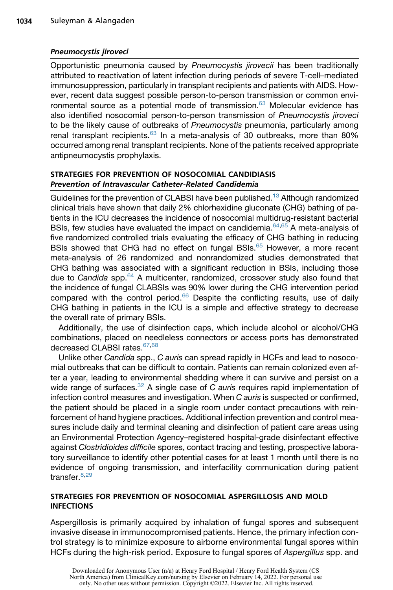#### Pneumocystis jiroveci

Opportunistic pneumonia caused by *Pneumocystis jirovecii* has been traditionally attributed to reactivation of latent infection during periods of severe T-cell–mediated immunosuppression, particularly in transplant recipients and patients with AIDS. However, recent data suggest possible person-to-person transmission or common envi-ronmental source as a potential mode of transmission.<sup>[63](#page-25-12)</sup> Molecular evidence has also identified nosocomial person-to-person transmission of *Pneumocystis jiroveci* to be the likely cause of outbreaks of *Pneumocystis* pneumonia, particularly among renal transplant recipients. $63$  In a meta-analysis of 30 outbreaks, more than 80% occurred among renal transplant recipients. None of the patients received appropriate antipneumocystis prophylaxis.

#### STRATEGIES FOR PREVENTION OF NOSOCOMIAL CANDIDIASIS Prevention of Intravascular Catheter-Related Candidemia

Guidelines for the prevention of CLABSI have been published.<sup>[13](#page-23-0)</sup> Although randomized clinical trials have shown that daily 2% chlorhexidine gluconate (CHG) bathing of patients in the ICU decreases the incidence of nosocomial multidrug-resistant bacterial BSIs, few studies have evaluated the impact on candidemia. $64,65$  $64,65$  A meta-analysis of five randomized controlled trials evaluating the efficacy of CHG bathing in reducing BSIs showed that CHG had no effect on fungal BSIs.<sup>[65](#page-25-14)</sup> However, a more recent meta-analysis of 26 randomized and nonrandomized studies demonstrated that CHG bathing was associated with a significant reduction in BSIs, including those due to *Candida* spp.[64](#page-25-13) A multicenter, randomized, crossover study also found that the incidence of fungal CLABSIs was 90% lower during the CHG intervention period compared with the control period. $66$  Despite the conflicting results, use of daily CHG bathing in patients in the ICU is a simple and effective strategy to decrease the overall rate of primary BSIs.

Additionally, the use of disinfection caps, which include alcohol or alcohol/CHG combinations, placed on needleless connectors or access ports has demonstrated decreased CLABSI rates.<sup>[67,](#page-25-16)[68](#page-25-17)</sup>

Unlike other *Candida* spp., *C auris* can spread rapidly in HCFs and lead to nosocomial outbreaks that can be difficult to contain. Patients can remain colonized even after a year, leading to environmental shedding where it can survive and persist on a wide range of surfaces.<sup>[32](#page-24-1)</sup> A single case of *C auris* requires rapid implementation of infection control measures and investigation. When *C auris* is suspected or confirmed, the patient should be placed in a single room under contact precautions with reinforcement of hand hygiene practices. Additional infection prevention and control measures include daily and terminal cleaning and disinfection of patient care areas using an Environmental Protection Agency–registered hospital-grade disinfectant effective against *Clostridioides difficile* spores, contact tracing and testing, prospective laboratory surveillance to identify other potential cases for at least 1 month until there is no evidence of ongoing transmission, and interfacility communication during patient transfer.<sup>[8](#page-22-6)[,29](#page-23-14)</sup>

#### STRATEGIES FOR PREVENTION OF NOSOCOMIAL ASPERGILLOSIS AND MOLD INFECTIONS

Aspergillosis is primarily acquired by inhalation of fungal spores and subsequent invasive disease in immunocompromised patients. Hence, the primary infection control strategy is to minimize exposure to airborne environmental fungal spores within HCFs during the high-risk period. Exposure to fungal spores of *Aspergillus* spp. and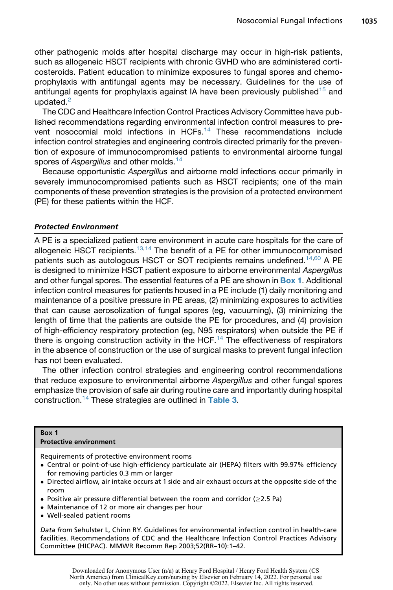other pathogenic molds after hospital discharge may occur in high-risk patients, such as allogeneic HSCT recipients with chronic GVHD who are administered corticosteroids. Patient education to minimize exposures to fungal spores and chemoprophylaxis with antifungal agents may be necessary. Guidelines for the use of antifungal agents for prophylaxis against IA have been previously published<sup>[15](#page-23-17)</sup> and updated.<sup>[2](#page-22-11)</sup>

The CDC and Healthcare Infection Control Practices Advisory Committee have published recommendations regarding environmental infection control measures to prevent nosocomial mold infections in HCFs.[14](#page-23-16) These recommendations include infection control strategies and engineering controls directed primarily for the prevention of exposure of immunocompromised patients to environmental airborne fungal spores of *Aspergillus* and other molds.<sup>[14](#page-23-16)</sup>

Because opportunistic *Aspergillus* and airborne mold infections occur primarily in severely immunocompromised patients such as HSCT recipients; one of the main components of these prevention strategies is the provision of a protected environment (PE) for these patients within the HCF.

#### Protected Environment

A PE is a specialized patient care environment in acute care hospitals for the care of allogeneic HSCT recipients.<sup>[13](#page-23-0)[,14](#page-23-16)</sup> The benefit of a PE for other immunocompromised patients such as autologous HSCT or SOT recipients remains undefined.<sup>[14](#page-23-16)[,60](#page-25-9)</sup> A PE is designed to minimize HSCT patient exposure to airborne environmental *Aspergillus* and other fungal spores. The essential features of a PE are shown in **[Box 1](#page-9-0).** Additional infection control measures for patients housed in a PE include (1) daily monitoring and maintenance of a positive pressure in PE areas, (2) minimizing exposures to activities that can cause aerosolization of fungal spores (eg, vacuuming), (3) minimizing the length of time that the patients are outside the PE for procedures, and (4) provision of high-efficiency respiratory protection (eg, N95 respirators) when outside the PE if there is ongoing construction activity in the HCF.<sup>[14](#page-23-16)</sup> The effectiveness of respirators in the absence of construction or the use of surgical masks to prevent fungal infection has not been evaluated.

The other infection control strategies and engineering control recommendations that reduce exposure to environmental airborne *Aspergillus* and other fungal spores emphasize the provision of safe air during routine care and importantly during hospital construction.<sup>[14](#page-23-16)</sup> These strategies are outlined in [Table 3](#page-10-0).

#### <span id="page-9-0"></span>Box 1

Protective environment

Requirements of protective environment rooms

- Central or point-of-use high-efficiency particulate air (HEPA) filters with 99.97% efficiency for removing particles 0.3 mm or larger
- Directed airflow, air intake occurs at 1 side and air exhaust occurs at the opposite side of the room
- Positive air pressure differential between the room and corridor ( $\geq$ 2.5 Pa)
- Maintenance of 12 or more air changes per hour
- Well-sealed patient rooms

Data from Sehulster L, Chinn RY. Guidelines for environmental infection control in health-care facilities. Recommendations of CDC and the Healthcare Infection Control Practices Advisory Committee (HICPAC). MMWR Recomm Rep 2003;52(RR–10):1–42.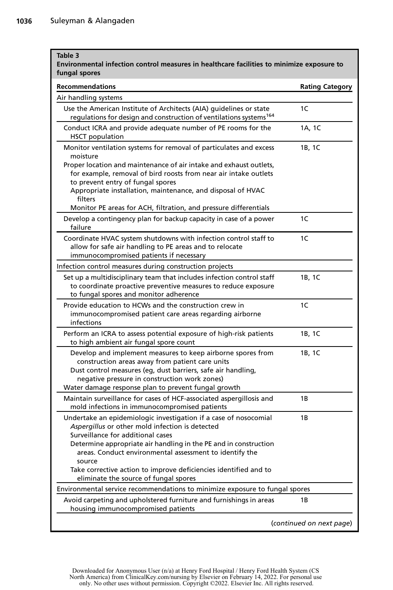<span id="page-10-0"></span>г

| <b>Recommendations</b>                                                                                                                                                                                                                                                                            | <b>Rating Category</b> |
|---------------------------------------------------------------------------------------------------------------------------------------------------------------------------------------------------------------------------------------------------------------------------------------------------|------------------------|
| Air handling systems                                                                                                                                                                                                                                                                              |                        |
| Use the American Institute of Architects (AIA) quidelines or state<br>regulations for design and construction of ventilations systems <sup>164</sup>                                                                                                                                              | 1C                     |
| Conduct ICRA and provide adequate number of PE rooms for the<br><b>HSCT</b> population                                                                                                                                                                                                            | 1A, 1C                 |
| Monitor ventilation systems for removal of particulates and excess<br>moisture<br>Proper location and maintenance of air intake and exhaust outlets.<br>for example, removal of bird roosts from near air intake outlets<br>to prevent entry of fungal spores                                     | 1B, 1C                 |
| Appropriate installation, maintenance, and disposal of HVAC<br>filters<br>Monitor PE areas for ACH, filtration, and pressure differentials                                                                                                                                                        |                        |
| Develop a contingency plan for backup capacity in case of a power<br>failure                                                                                                                                                                                                                      | 1C                     |
| Coordinate HVAC system shutdowns with infection control staff to<br>allow for safe air handling to PE areas and to relocate<br>immunocompromised patients if necessary                                                                                                                            | 1C                     |
| Infection control measures during construction projects<br>Set up a multidisciplinary team that includes infection control staff<br>to coordinate proactive preventive measures to reduce exposure<br>to fungal spores and monitor adherence                                                      | 1B, 1C                 |
| Provide education to HCWs and the construction crew in<br>immunocompromised patient care areas regarding airborne<br>infections                                                                                                                                                                   | 1C                     |
| Perform an ICRA to assess potential exposure of high-risk patients<br>to high ambient air fungal spore count                                                                                                                                                                                      | 1B, 1C                 |
| Develop and implement measures to keep airborne spores from<br>construction areas away from patient care units<br>Dust control measures (eg, dust barriers, safe air handling,<br>negative pressure in construction work zones)<br>Water damage response plan to prevent fungal growth            | 1B, 1C                 |
| Maintain surveillance for cases of HCF-associated aspergillosis and<br>mold infections in immunocompromised patients                                                                                                                                                                              | 1 B                    |
| Undertake an epidemiologic investigation if a case of nosocomial<br>Aspergillus or other mold infection is detected<br>Surveillance for additional cases<br>Determine appropriate air handling in the PE and in construction<br>areas. Conduct environmental assessment to identify the<br>source | 1B                     |
| Take corrective action to improve deficiencies identified and to<br>eliminate the source of fungal spores                                                                                                                                                                                         |                        |
| Environmental service recommendations to minimize exposure to fungal spores                                                                                                                                                                                                                       |                        |
| Avoid carpeting and upholstered furniture and furnishings in areas<br>housing immunocompromised patients                                                                                                                                                                                          | 1В                     |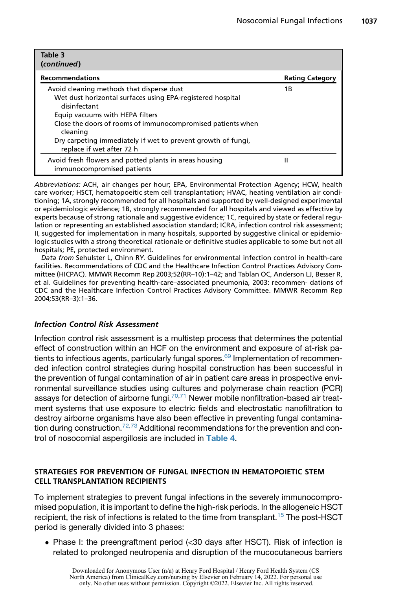| Table 3<br>(continued)                                                                                                                                                                                                                                                                                                             |                        |
|------------------------------------------------------------------------------------------------------------------------------------------------------------------------------------------------------------------------------------------------------------------------------------------------------------------------------------|------------------------|
| <b>Recommendations</b>                                                                                                                                                                                                                                                                                                             | <b>Rating Category</b> |
| Avoid cleaning methods that disperse dust<br>Wet dust horizontal surfaces using EPA-registered hospital<br>disinfectant<br>Equip vacuums with HEPA filters<br>Close the doors of rooms of immunocompromised patients when<br>cleaning<br>Dry carpeting immediately if wet to prevent growth of fungi,<br>replace if wet after 72 h | 1Β                     |
| Avoid fresh flowers and potted plants in areas housing<br>immunocompromised patients                                                                                                                                                                                                                                               | н                      |

Abbreviations: ACH, air changes per hour; EPA, Environmental Protection Agency; HCW, health care worker; HSCT, hematopoeitic stem cell transplantation; HVAC, heating ventilation air conditioning; 1A, strongly recommended for all hospitals and supported by well-designed experimental or epidemiologic evidence; 1B, strongly recommended for all hospitals and viewed as effective by experts because of strong rationale and suggestive evidence; 1C, required by state or federal regulation or representing an established association standard; ICRA, infection control risk assessment; II, suggested for implementation in many hospitals, supported by suggestive clinical or epidemiologic studies with a strong theoretical rationale or definitive studies applicable to some but not all hospitals; PE, protected environment.

Data from Sehulster L, Chinn RY. Guidelines for environmental infection control in health-care facilities. Recommendations of CDC and the Healthcare Infection Control Practices Advisory Committee (HICPAC). MMWR Recomm Rep 2003;52(RR–10):1–42; and Tablan OC, Anderson LJ, Besser R, et al. Guidelines for preventing health-care–associated pneumonia, 2003: recommen- dations of CDC and the Healthcare Infection Control Practices Advisory Committee. MMWR Recomm Rep 2004;53(RR–3):1–36.

#### Infection Control Risk Assessment

Infection control risk assessment is a multistep process that determines the potential effect of construction within an HCF on the environment and exposure of at-risk pa-tients to infectious agents, particularly fungal spores.<sup>[69](#page-26-0)</sup> Implementation of recommended infection control strategies during hospital construction has been successful in the prevention of fungal contamination of air in patient care areas in prospective environmental surveillance studies using cultures and polymerase chain reaction (PCR) assays for detection of airborne fungi.<sup>[70,](#page-26-1)[71](#page-26-2)</sup> Newer mobile nonfiltration-based air treatment systems that use exposure to electric fields and electrostatic nanofiltration to destroy airborne organisms have also been effective in preventing fungal contamina-tion during construction.<sup>[72,](#page-26-3)[73](#page-26-4)</sup> Additional recommendations for the prevention and con-trol of nosocomial aspergillosis are included in [Table 4](#page-12-0).

#### STRATEGIES FOR PREVENTION OF FUNGAL INFECTION IN HEMATOPOIETIC STEM CELL TRANSPLANTATION RECIPIENTS

To implement strategies to prevent fungal infections in the severely immunocompromised population, it is important to define the high-risk periods. In the allogeneic HSCT recipient, the risk of infections is related to the time from transplant.<sup>[15](#page-23-17)</sup> The post-HSCT period is generally divided into 3 phases:

• Phase I: the preengraftment period (<30 days after HSCT). Risk of infection is related to prolonged neutropenia and disruption of the mucocutaneous barriers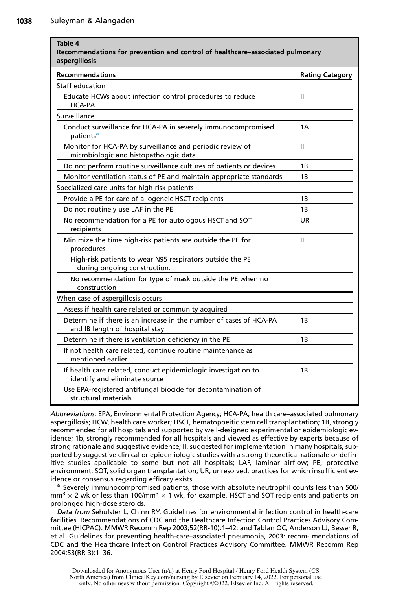<span id="page-12-0"></span>

| Table 4<br>Recommendations for prevention and control of healthcare-associated pulmonary<br>aspergillosis |                        |
|-----------------------------------------------------------------------------------------------------------|------------------------|
| <b>Recommendations</b>                                                                                    | <b>Rating Category</b> |
| Staff education                                                                                           |                        |
| Educate HCWs about infection control procedures to reduce<br>HCA-PA                                       | Ш                      |
| Surveillance                                                                                              |                        |
| Conduct surveillance for HCA-PA in severely immunocompromised<br>patients <sup>a</sup>                    | 1A                     |
| Monitor for HCA-PA by surveillance and periodic review of<br>microbiologic and histopathologic data       | Ш                      |
| Do not perform routine surveillance cultures of patients or devices                                       | 1B                     |
| Monitor ventilation status of PE and maintain appropriate standards                                       | 1B                     |
| Specialized care units for high-risk patients                                                             |                        |
| Provide a PE for care of allogeneic HSCT recipients                                                       | 1B                     |
| Do not routinely use LAF in the PE                                                                        | 1B                     |
| No recommendation for a PE for autologous HSCT and SOT<br>recipients                                      | UR                     |
| Minimize the time high-risk patients are outside the PE for<br>procedures                                 | Ш                      |
| High-risk patients to wear N95 respirators outside the PE<br>during ongoing construction.                 |                        |
| No recommendation for type of mask outside the PE when no<br>construction                                 |                        |
| When case of aspergillosis occurs                                                                         |                        |
| Assess if health care related or community acquired                                                       |                        |
| Determine if there is an increase in the number of cases of HCA-PA<br>and IB length of hospital stay      | 1B                     |
| Determine if there is ventilation deficiency in the PE                                                    | 1B                     |
| If not health care related, continue routine maintenance as<br>mentioned earlier                          |                        |
| If health care related, conduct epidemiologic investigation to<br>identify and eliminate source           | 1B                     |
| Use EPA-registered antifungal biocide for decontamination of<br>structural materials                      |                        |

Abbreviations: EPA, Environmental Protection Agency; HCA-PA, health care–associated pulmonary aspergillosis; HCW, health care worker; HSCT, hematopoeitic stem cell transplantation; 1B, strongly recommended for all hospitals and supported by well-designed experimental or epidemiologic evidence; 1b, strongly recommended for all hospitals and viewed as effective by experts because of strong rationale and suggestive evidence; II, suggested for implementation in many hospitals, supported by suggestive clinical or epidemiologic studies with a strong theoretical rationale or definitive studies applicable to some but not all hospitals; LAF, laminar airflow; PE, protective environment; SOT, solid organ transplantation; UR, unresolved, practices for which insufficient evidence or consensus regarding efficacy exists.<br>a Severely immunocompromised patients, those with absolute neutrophil counts less than 500/

<span id="page-12-1"></span> $mm<sup>3</sup> \times 2$  wk or less than 100/mm<sup>3</sup>  $\times$  1 wk, for example, HSCT and SOT recipients and patients on prolonged high-dose steroids.

Data from Sehulster L, Chinn RY. Guidelines for environmental infection control in health-care facilities. Recommendations of CDC and the Healthcare Infection Control Practices Advisory Committee (HICPAC). MMWR Recomm Rep 2003;52(RR-10):1–42; and Tablan OC, Anderson LJ, Besser R, et al. Guidelines for preventing health-care–associated pneumonia, 2003: recom- mendations of CDC and the Healthcare Infection Control Practices Advisory Committee. MMWR Recomm Rep 2004;53(RR-3):1–36.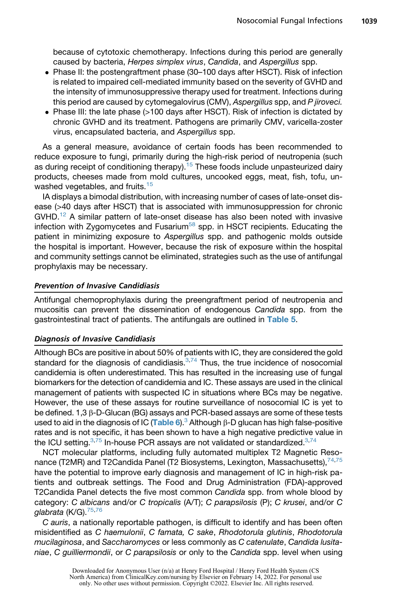because of cytotoxic chemotherapy. Infections during this period are generally caused by bacteria, *Herpes simplex virus*, *Candida*, and *Aspergillus* spp.

- Phase II: the postengraftment phase (30–100 days after HSCT). Risk of infection is related to impaired cell-mediated immunity based on the severity of GVHD and the intensity of immunosuppressive therapy used for treatment. Infections during this period are caused by cytomegalovirus (CMV), *Aspergillus* spp, and *P jiroveci.*
- Phase III: the late phase (>100 days after HSCT). Risk of infection is dictated by chronic GVHD and its treatment. Pathogens are primarily CMV, varicella-zoster virus, encapsulated bacteria, and *Aspergillus* spp.

As a general measure, avoidance of certain foods has been recommended to reduce exposure to fungi, primarily during the high-risk period of neutropenia (such as during receipt of conditioning therapy).<sup>[15](#page-23-17)</sup> These foods include unpasteurized dairy products, cheeses made from mold cultures, uncooked eggs, meat, fish, tofu, un-washed vegetables, and fruits.<sup>[15](#page-23-17)</sup>

IA displays a bimodal distribution, with increasing number of cases of late-onset disease (>40 days after HSCT) that is associated with immunosuppression for chronic  $GVHD<sup>12</sup>$  A similar pattern of late-onset disease has also been noted with invasive infection with Zygomycetes and Fusarium<sup>[58](#page-25-7)</sup> spp. in HSCT recipients. Educating the patient in minimizing exposure to *Aspergillus* spp. and pathogenic molds outside the hospital is important. However, because the risk of exposure within the hospital and community settings cannot be eliminated, strategies such as the use of antifungal prophylaxis may be necessary.

#### Prevention of Invasive Candidiasis

Antifungal chemoprophylaxis during the preengraftment period of neutropenia and mucositis can prevent the dissemination of endogenous *Candida* spp. from the gastrointestinal tract of patients. The antifungals are outlined in [Table 5](#page-14-0).

#### Diagnosis of Invasive Candidiasis

Although BCs are positive in about 50% of patients with IC, they are considered the gold standard for the diagnosis of candidiasis. $3,74$  $3,74$  Thus, the true incidence of nosocomial candidemia is often underestimated. This has resulted in the increasing use of fungal biomarkers for the detection of candidemia and IC. These assays are used in the clinical management of patients with suspected IC in situations where BCs may be negative. However, the use of these assays for routine surveillance of nosocomial IC is yet to be defined. 1,3 β-D-Glucan (BG) assays and PCR-based assays are some of these tests used to aid in the diagnosis of IC ([Table 6](#page-18-0)).<sup>[3](#page-22-1)</sup> Although  $\beta$ -D glucan has high false-positive rates and is not specific, it has been shown to have a high negative predictive value in the ICU setting. $3,75$  $3,75$  In-house PCR assays are not validated or standardized. $3,74$  $3,74$ 

NCT molecular platforms, including fully automated multiplex T2 Magnetic Resonance (T2MR) and T2Candida Panel (T2 Biosystems, Lexington, Massachusetts),  $74.75$  $74.75$ have the potential to improve early diagnosis and management of IC in high-risk patients and outbreak settings. The Food and Drug Administration (FDA)-approved T2Candida Panel detects the five most common *Candida* spp. from whole blood by category: *C albicans* and/or *C tropicalis* (A/T); *C parapsilosis* (P); *C krusei*, and/or *C glabrata* (K/G).[75](#page-26-6)[,76](#page-26-7)

*C auris*, a nationally reportable pathogen, is difficult to identify and has been often misidentified as *C haemulonii*, *C famata, C sake*, *Rhodotorula glutinis*, *Rhodotorula mucilaginosa*, and *Saccharomyces* or less commonly as *C catenulate*, *Candida lusitaniae*, *C guilliermondii*, or *C parapsilosis* or only to the *Candida* spp. level when using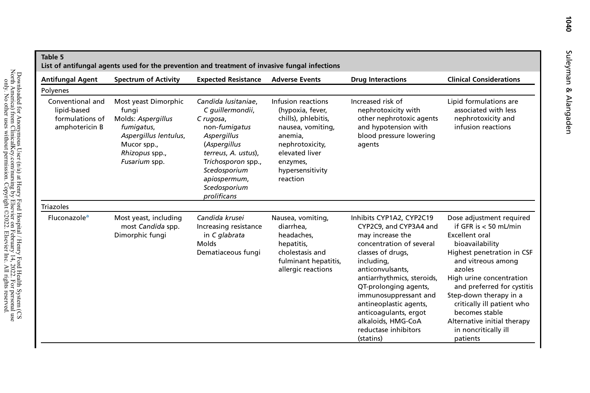<span id="page-14-0"></span>

| <b>Antifungal Agent</b>                                              | <b>Spectrum of Activity</b>                                                                                                                  | <b>Expected Resistance</b>                                                                                                                                                                                       | <b>Adverse Events</b>                                                                                                                                                          | <b>Drug Interactions</b>                                                                                                                                                                                                                                                                                                                                | <b>Clinical Considerations</b>                                                                                                                                                                                                                                                                                                                                       |
|----------------------------------------------------------------------|----------------------------------------------------------------------------------------------------------------------------------------------|------------------------------------------------------------------------------------------------------------------------------------------------------------------------------------------------------------------|--------------------------------------------------------------------------------------------------------------------------------------------------------------------------------|---------------------------------------------------------------------------------------------------------------------------------------------------------------------------------------------------------------------------------------------------------------------------------------------------------------------------------------------------------|----------------------------------------------------------------------------------------------------------------------------------------------------------------------------------------------------------------------------------------------------------------------------------------------------------------------------------------------------------------------|
| Polyenes                                                             |                                                                                                                                              |                                                                                                                                                                                                                  |                                                                                                                                                                                |                                                                                                                                                                                                                                                                                                                                                         |                                                                                                                                                                                                                                                                                                                                                                      |
| Conventional and<br>lipid-based<br>formulations of<br>amphotericin B | Most yeast Dimorphic<br>fungi<br>Molds: Aspergillus<br>fumigatus,<br>Aspergillus lentulus,<br>Mucor spp.,<br>Rhizopus spp.,<br>Fusarium spp. | Candida Iusitaniae.<br>C quillermondii,<br>C rugosa,<br>non-fumigatus<br>Aspergillus<br>(Aspergillus<br>terreus, A. ustus),<br>Trichosporon spp.,<br>Scedosporium<br>apiospermum,<br>Scedosporium<br>prolificans | Infusion reactions<br>(hypoxia, fever,<br>chills), phlebitis,<br>nausea, vomiting,<br>anemia.<br>nephrotoxicity,<br>elevated liver<br>enzymes,<br>hypersensitivity<br>reaction | Increased risk of<br>nephrotoxicity with<br>other nephrotoxic agents<br>and hypotension with<br>blood pressure lowering<br>agents                                                                                                                                                                                                                       | Lipid formulations are<br>associated with less<br>nephrotoxicity and<br>infusion reactions                                                                                                                                                                                                                                                                           |
| <b>Triazoles</b>                                                     |                                                                                                                                              |                                                                                                                                                                                                                  |                                                                                                                                                                                |                                                                                                                                                                                                                                                                                                                                                         |                                                                                                                                                                                                                                                                                                                                                                      |
| Fluconazole <sup>a</sup>                                             | Most yeast, including<br>most Candida spp.<br>Dimorphic fungi                                                                                | Candida krusei<br>Increasing resistance<br>in C glabrata<br>Molds<br>Dematiaceous fungi                                                                                                                          | Nausea, vomiting,<br>diarrhea,<br>headaches.<br>hepatitis,<br>cholestasis and<br>fulminant hepatitis,<br>allergic reactions                                                    | Inhibits CYP1A2, CYP2C19<br>CYP2C9, and CYP3A4 and<br>may increase the<br>concentration of several<br>classes of drugs,<br>including,<br>anticonvulsants,<br>antiarrhythmics, steroids,<br>QT-prolonging agents,<br>immunosuppressant and<br>antineoplastic agents,<br>anticoagulants, ergot<br>alkaloids, HMG-CoA<br>reductase inhibitors<br>(statins) | Dose adjustment required<br>if GFR is $< 50$ mL/min<br><b>Excellent oral</b><br>bioavailability<br>Highest penetration in CSF<br>and vitreous among<br>azoles<br>High urine concentration<br>and preferred for cystitis<br>Step-down therapy in a<br>critically ill patient who<br>becomes stable<br>Alternative initial therapy<br>in noncritically ill<br>patients |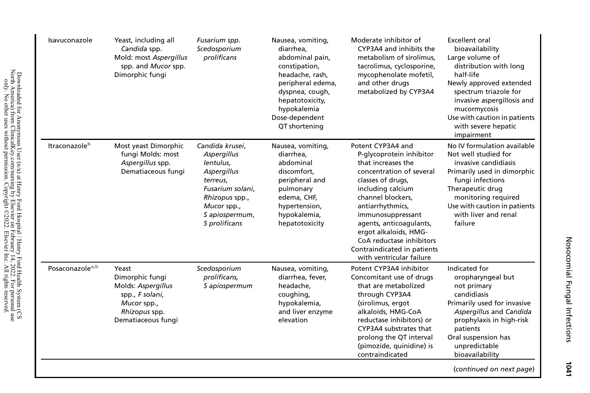| Yeast, including all<br>Candida spp.<br>Mold: most Aspergillus<br>spp. and Mucor spp.<br>Dimorphic fungi                | Fusarium spp.<br>Scedosporium<br>prolificans                                                                                                                   | Nausea, vomiting,<br>diarrhea,<br>abdominal pain,<br>constipation,<br>headache, rash,<br>peripheral edema,<br>dyspnea, cough,<br>hepatotoxicity,<br>hypokalemia<br>Dose-dependent<br>QT shortening | Moderate inhibitor of<br>CYP3A4 and inhibits the<br>metabolism of sirolimus,<br>tacrolimus, cyclosporine,<br>mycophenolate mofetil,<br>and other drugs<br>metabolized by CYP3A4                                                                                                                                                                    | Excellent oral<br>bioavailability<br>Large volume of<br>distribution with long<br>half-life<br>Newly approved extended<br>spectrum triazole for<br>invasive aspergillosis and<br>mucormycosis<br>Use with caution in patients<br>with severe hepatic<br>impairment |
|-------------------------------------------------------------------------------------------------------------------------|----------------------------------------------------------------------------------------------------------------------------------------------------------------|----------------------------------------------------------------------------------------------------------------------------------------------------------------------------------------------------|----------------------------------------------------------------------------------------------------------------------------------------------------------------------------------------------------------------------------------------------------------------------------------------------------------------------------------------------------|--------------------------------------------------------------------------------------------------------------------------------------------------------------------------------------------------------------------------------------------------------------------|
| Most yeast Dimorphic<br>fungi Molds: most<br>Aspergillus spp.<br>Dematiaceous fungi                                     | Candida krusei,<br>Aspergillus<br>lentulus,<br>Aspergillus<br>terreus,<br>Fusarium solani,<br>Rhizopus spp.,<br>Mucor spp.,<br>S apiospermum,<br>S prolificans | Nausea, vomiting,<br>diarrhea,<br>abdominal<br>discomfort,<br>peripheral and<br>pulmonary<br>edema, CHF,<br>hypertension,<br>hypokalemia,<br>hepatotoxicity                                        | Potent CYP3A4 and<br>P-glycoprotein inhibitor<br>that increases the<br>concentration of several<br>classes of drugs,<br>including calcium<br>channel blockers,<br>antiarrhythmics,<br>immunosuppressant<br>agents, anticoagulants,<br>ergot alkaloids, HMG-<br>CoA reductase inhibitors<br>Contraindicated in patients<br>with ventricular failure | No IV formulation available<br>Not well studied for<br>invasive candidiasis<br>Primarily used in dimorphic<br>fungi infections<br>Therapeutic drug<br>monitoring required<br>Use with caution in patients<br>with liver and renal<br>failure                       |
| Yeast<br>Dimorphic fungi<br>Molds: Aspergillus<br>spp., F solani,<br>Mucor spp.,<br>Rhizopus spp.<br>Dematiaceous fungi | Scedosporium<br>prolificans,<br>S apiospermum                                                                                                                  | Nausea, vomiting,<br>diarrhea, fever,<br>headache,<br>coughing,<br>hypokalemia,<br>and liver enzyme<br>elevation                                                                                   | Potent CYP3A4 inhibitor<br>Concomitant use of drugs<br>that are metabolized<br>through CYP3A4<br>(sirolimus, ergot<br>alkaloids, HMG-CoA<br>reductase inhibitors) or<br>CYP3A4 substrates that<br>prolong the QT interval<br>(pimozide, quinidine) is<br>contraindicated                                                                           | Indicated for<br>oropharyngeal but<br>not primary<br>candidiasis<br>Primarily used for invasive<br>Aspergillus and Candida<br>prophylaxis in high-risk<br>patients<br>Oral suspension has<br>unpredictable<br>bioavailability                                      |
|                                                                                                                         |                                                                                                                                                                |                                                                                                                                                                                                    |                                                                                                                                                                                                                                                                                                                                                    |                                                                                                                                                                                                                                                                    |

Nosocomial Fungal Infections Nosocomial Fungal Infections 1041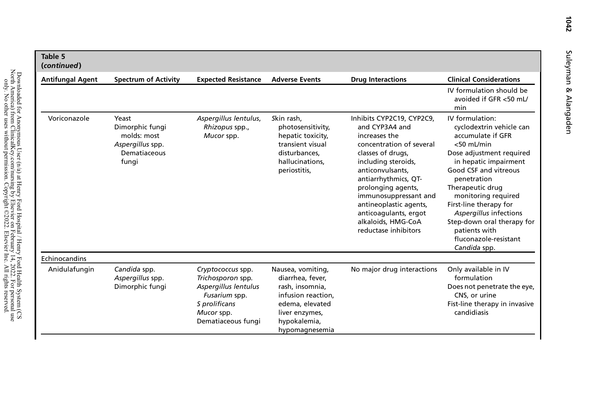| Table 5<br>(continued)  |                                                                                      |                                                                                                                                      |                                                                                                                                                       |                                                                                                                                                                                                                                                                                                                                  |                                                                                                                                                                                                                                                                                                                                                                       |
|-------------------------|--------------------------------------------------------------------------------------|--------------------------------------------------------------------------------------------------------------------------------------|-------------------------------------------------------------------------------------------------------------------------------------------------------|----------------------------------------------------------------------------------------------------------------------------------------------------------------------------------------------------------------------------------------------------------------------------------------------------------------------------------|-----------------------------------------------------------------------------------------------------------------------------------------------------------------------------------------------------------------------------------------------------------------------------------------------------------------------------------------------------------------------|
| <b>Antifungal Agent</b> | <b>Spectrum of Activity</b>                                                          | <b>Expected Resistance</b>                                                                                                           | <b>Adverse Events</b>                                                                                                                                 | <b>Drug Interactions</b>                                                                                                                                                                                                                                                                                                         | <b>Clinical Considerations</b>                                                                                                                                                                                                                                                                                                                                        |
|                         |                                                                                      |                                                                                                                                      |                                                                                                                                                       |                                                                                                                                                                                                                                                                                                                                  | IV formulation should be<br>avoided if GFR <50 mL/<br>min                                                                                                                                                                                                                                                                                                             |
| Voriconazole            | Yeast<br>Dimorphic fungi<br>molds: most<br>Aspergillus spp.<br>Dematiaceous<br>funai | Aspergillus lentulus,<br>Rhizopus spp.,<br>Mucor spp.                                                                                | Skin rash.<br>photosensitivity,<br>hepatic toxicity,<br>transient visual<br>disturbances.<br>hallucinations.<br>periostitis,                          | Inhibits CYP2C19, CYP2C9,<br>and CYP3A4 and<br>increases the<br>concentration of several<br>classes of drugs,<br>including steroids,<br>anticonvulsants.<br>antiarrhythmics, QT-<br>prolonging agents,<br>immunosuppressant and<br>antineoplastic agents,<br>anticoagulants, ergot<br>alkaloids, HMG-CoA<br>reductase inhibitors | IV formulation:<br>cyclodextrin vehicle can<br>accumulate if GFR<br>$<$ 50 mL/min<br>Dose adjustment required<br>in hepatic impairment<br>Good CSF and vitreous<br>penetration<br>Therapeutic drug<br>monitoring required<br>First-line therapy for<br>Aspergillus infections<br>Step-down oral therapy for<br>patients with<br>fluconazole-resistant<br>Candida spp. |
| Echinocandins           |                                                                                      |                                                                                                                                      |                                                                                                                                                       |                                                                                                                                                                                                                                                                                                                                  |                                                                                                                                                                                                                                                                                                                                                                       |
| Anidulafungin           | Candida spp.<br>Aspergillus spp.<br>Dimorphic fungi                                  | Cryptococcus spp.<br>Trichosporon spp.<br>Aspergillus lentulus<br>Fusarium spp.<br>S prolificans<br>Mucor spp.<br>Dematiaceous fungi | Nausea, vomiting,<br>diarrhea, fever,<br>rash, insomnia,<br>infusion reaction.<br>edema, elevated<br>liver enzymes,<br>hypokalemia,<br>hypomagnesemia | No major drug interactions                                                                                                                                                                                                                                                                                                       | Only available in IV<br>formulation<br>Does not penetrate the eye,<br>CNS, or urine<br>Fist-line therapy in invasive<br>candidiasis                                                                                                                                                                                                                                   |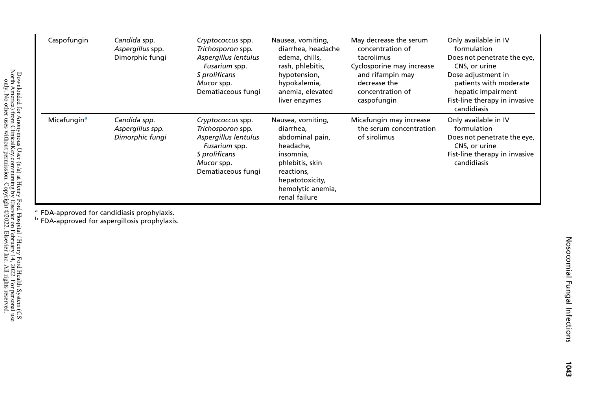| Caspofungin             | Candida spp.<br>Aspergillus spp.<br>Dimorphic fungi | Cryptococcus spp.<br>Trichosporon spp.<br>Aspergillus lentulus<br>Fusarium spp.<br>S prolificans<br>Mucor spp.<br>Dematiaceous fungi | Nausea, vomiting,<br>diarrhea, headache<br>edema, chills,<br>rash, phlebitis,<br>hypotension,<br>hypokalemia,<br>anemia, elevated<br>liver enzymes                    | May decrease the serum<br>concentration of<br>tacrolimus<br>Cyclosporine may increase<br>and rifampin may<br>decrease the<br>concentration of<br>caspofungin | Only available in IV<br>formulation<br>Does not penetrate the eye,<br>CNS, or urine<br>Dose adjustment in<br>patients with moderate<br>hepatic impairment<br>Fist-line therapy in invasive<br>candidiasis |
|-------------------------|-----------------------------------------------------|--------------------------------------------------------------------------------------------------------------------------------------|-----------------------------------------------------------------------------------------------------------------------------------------------------------------------|--------------------------------------------------------------------------------------------------------------------------------------------------------------|-----------------------------------------------------------------------------------------------------------------------------------------------------------------------------------------------------------|
| Micafungin <sup>a</sup> | Candida spp.<br>Aspergillus spp.<br>Dimorphic fungi | Cryptococcus spp.<br>Trichosporon spp.<br>Aspergillus lentulus<br>Fusarium spp.<br>S prolificans<br>Mucor spp.<br>Dematiaceous fungi | Nausea, vomiting,<br>diarrhea.<br>abdominal pain,<br>headache,<br>insomnia,<br>phlebitis, skin<br>reactions,<br>hepatotoxicity,<br>hemolytic anemia,<br>renal failure | Micafungin may increase<br>the serum concentration<br>of sirolimus                                                                                           | Only available in IV<br>formulation<br>Does not penetrate the eye,<br>CNS, or urine<br>Fist-line therapy in invasive<br>candidiasis                                                                       |

<span id="page-17-1"></span><span id="page-17-0"></span>

<sup>a</sup> FDA-approved for candidiasis prophylaxis.<br><sup>b</sup> FDA-approved for aspergillosis prophylaxis.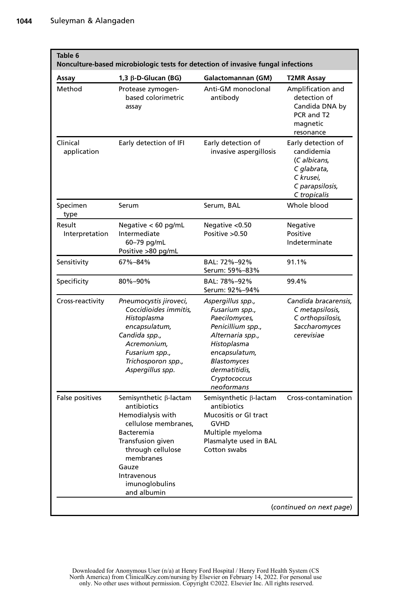<span id="page-18-0"></span>

| Table 6                  | Nonculture-based microbiologic tests for detection of invasive fungal infections                                                                                                                                               |                                                                                                                                                                                             |                                                                                                                 |
|--------------------------|--------------------------------------------------------------------------------------------------------------------------------------------------------------------------------------------------------------------------------|---------------------------------------------------------------------------------------------------------------------------------------------------------------------------------------------|-----------------------------------------------------------------------------------------------------------------|
| Assay                    | 1,3 $\beta$ -D-Glucan (BG)                                                                                                                                                                                                     | Galactomannan (GM)                                                                                                                                                                          | T2MR Assay                                                                                                      |
| Method                   | Protease zymogen-<br>based colorimetric<br>assay                                                                                                                                                                               | Anti-GM monoclonal<br>antibody                                                                                                                                                              | Amplification and<br>detection of<br>Candida DNA by<br>PCR and T2<br>magnetic<br>resonance                      |
| Clinical<br>application  | Early detection of IFI                                                                                                                                                                                                         | Early detection of<br>invasive aspergillosis                                                                                                                                                | Early detection of<br>candidemia<br>(C albicans,<br>C glabrata,<br>C krusei,<br>C parapsilosis,<br>C tropicalis |
| Specimen<br>type         | Serum                                                                                                                                                                                                                          | Serum, BAL                                                                                                                                                                                  | Whole blood                                                                                                     |
| Result<br>Interpretation | Negative $< 60$ pg/mL<br>Intermediate<br>60-79 pg/mL<br>Positive >80 pg/mL                                                                                                                                                     | Negative < 0.50<br>Positive > 0.50                                                                                                                                                          | Negative<br>Positive<br>Indeterminate                                                                           |
| Sensitivity              | 67%-84%                                                                                                                                                                                                                        | BAL: 72%-92%<br>Serum: 59%-83%                                                                                                                                                              | 91.1%                                                                                                           |
| Specificity              | 80%-90%                                                                                                                                                                                                                        | BAL: 78%-92%<br>Serum: 92%-94%                                                                                                                                                              | 99.4%                                                                                                           |
| Cross-reactivity         | Pneumocystis jiroveci,<br>Coccidioides immitis,<br>Histoplasma<br>encapsulatum,<br>Candida spp.,<br>Acremonium.<br>Fusarium spp.,<br>Trichosporon spp.,<br>Aspergillus spp.                                                    | Aspergillus spp.,<br>Fusarium spp.,<br>Paecilomyces,<br>Penicillium spp.,<br>Alternaria spp.,<br>Histoplasma<br>encapsulatum,<br>Blastomyces<br>dermatitidis,<br>Cryptococcus<br>neoformans | Candida bracarensis.<br>C metapsilosis,<br>C orthopsilosis,<br>Saccharomyces<br>cerevisiae                      |
| False positives          | Semisynthetic $\beta$ -lactam<br>antibiotics<br>Hemodialysis with<br>cellulose membranes,<br><b>Bacteremia</b><br>Transfusion given<br>through cellulose<br>membranes<br>Gauze<br>Intravenous<br>imunoglobulins<br>and albumin | Semisynthetic $\beta$ -lactam<br>antibiotics<br>Mucositis or GI tract<br><b>GVHD</b><br>Multiple myeloma<br>Plasmalyte used in BAL<br>Cotton swabs                                          | Cross-contamination                                                                                             |
|                          |                                                                                                                                                                                                                                |                                                                                                                                                                                             | (continued on next page)                                                                                        |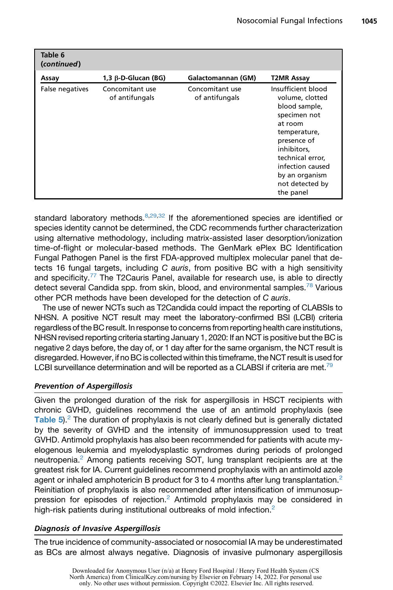| Table 6<br>(continued) |                                   |                                   |                                                                                                                                                                                                                           |
|------------------------|-----------------------------------|-----------------------------------|---------------------------------------------------------------------------------------------------------------------------------------------------------------------------------------------------------------------------|
| Assay                  | $1,3 \beta$ -D-Glucan (BG)        | Galactomannan (GM)                | T2MR Assay                                                                                                                                                                                                                |
| False negatives        | Concomitant use<br>of antifungals | Concomitant use<br>of antifungals | Insufficient blood<br>volume, clotted<br>blood sample,<br>specimen not<br>at room<br>temperature,<br>presence of<br>inhibitors.<br>technical error,<br>infection caused<br>by an organism<br>not detected by<br>the panel |

standard laboratory methods.  $8,29,32$  $8,29,32$  $8,29,32$  If the aforementioned species are identified or species identity cannot be determined, the CDC recommends further characterization using alternative methodology, including matrix-assisted laser desorption/ionization time-of-flight or molecular-based methods. The GenMark ePlex BC Identification Fungal Pathogen Panel is the first FDA-approved multiplex molecular panel that detects 16 fungal targets, including *C auris*, from positive BC with a high sensitivity and specificity. $77$  The T2Cauris Panel, available for research use, is able to directly detect several Candida spp. from skin, blood, and environmental samples.<sup>[78](#page-26-9)</sup> Various other PCR methods have been developed for the detection of *C auris*.

The use of newer NCTs such as T2Candida could impact the reporting of CLABSIs to NHSN. A positive NCT result may meet the laboratory-confirmed BSI (LCBI) criteria regardless of the BC result. In response to concernsfrom reporting health care institutions, NHSN revised reporting criteria starting January 1, 2020: If an NCT is positive but the BC is negative 2 days before, the day of, or 1 day after for the same organism, the NCT result is disregarded. However, if no BC is collected within this timeframe, the NCT result is usedfor LCBI surveillance determination and will be reported as a CLABSI if criteria are met.<sup>[79](#page-26-10)</sup>

#### Prevention of Aspergillosis

Given the prolonged duration of the risk for aspergillosis in HSCT recipients with chronic GVHD, guidelines recommend the use of an antimold prophylaxis (see Table  $5$ ).<sup>[2](#page-22-11)</sup> The duration of prophylaxis is not clearly defined but is generally dictated by the severity of GVHD and the intensity of immunosuppression used to treat GVHD. Antimold prophylaxis has also been recommended for patients with acute myelogenous leukemia and myelodysplastic syndromes during periods of prolonged neutropenia.<sup>[2](#page-22-11)</sup> Among patients receiving SOT, lung transplant recipients are at the greatest risk for IA. Current guidelines recommend prophylaxis with an antimold azole agent or inhaled amphotericin B product for 3 to 4 months after lung transplantation.<sup>[2](#page-22-11)</sup> Reinitiation of prophylaxis is also recommended after intensification of immunosuppression for episodes of rejection.[2](#page-22-11) Antimold prophylaxis may be considered in high-risk patients during institutional outbreaks of mold infection.<sup>[2](#page-22-11)</sup>

#### Diagnosis of Invasive Aspergillosis

The true incidence of community-associated or nosocomial IA may be underestimated as BCs are almost always negative. Diagnosis of invasive pulmonary aspergillosis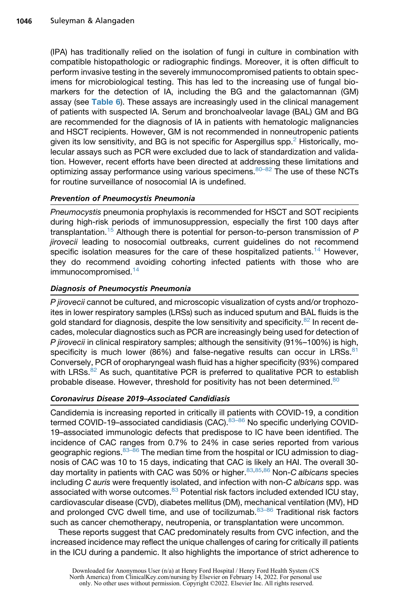(IPA) has traditionally relied on the isolation of fungi in culture in combination with compatible histopathologic or radiographic findings. Moreover, it is often difficult to perform invasive testing in the severely immunocompromised patients to obtain specimens for microbiological testing. This has led to the increasing use of fungal biomarkers for the detection of IA, including the BG and the galactomannan (GM) assay (see [Table 6](#page-18-0)). These assays are increasingly used in the clinical management of patients with suspected IA. Serum and bronchoalveolar lavage (BAL) GM and BG are recommended for the diagnosis of IA in patients with hematologic malignancies and HSCT recipients. However, GM is not recommended in nonneutropenic patients given its low sensitivity, and BG is not specific for Aspergillus spp. $<sup>2</sup>$  $<sup>2</sup>$  $<sup>2</sup>$  Historically, mo-</sup> lecular assays such as PCR were excluded due to lack of standardization and validation. However, recent efforts have been directed at addressing these limitations and optimizing assay performance using various specimens.  $80-82$  The use of these NCTs for routine surveillance of nosocomial IA is undefined.

#### Prevention of Pneumocystis Pneumonia

*Pneumocystis* pneumonia prophylaxis is recommended for HSCT and SOT recipients during high-risk periods of immunosuppression, especially the first 100 days after transplantation.[15](#page-23-17) Although there is potential for person-to-person transmission of *P jirovecii* leading to nosocomial outbreaks, current guidelines do not recommend specific isolation measures for the care of these hospitalized patients.<sup>[14](#page-23-16)</sup> However, they do recommend avoiding cohorting infected patients with those who are immunocompromised.<sup>[14](#page-23-16)</sup>

#### Diagnosis of Pneumocystis Pneumonia

*P jirovecii* cannot be cultured, and microscopic visualization of cysts and/or trophozoites in lower respiratory samples (LRSs) such as induced sputum and BAL fluids is the gold standard for diagnosis, despite the low sensitivity and specificity. $82$  In recent decades, molecular diagnostics such as PCR are increasingly being used for detection of *P jirovecii* in clinical respiratory samples; although the sensitivity (91%–100%) is high, specificity is much lower (86%) and false-negative results can occur in LRSs.<sup>[81](#page-26-13)</sup> Conversely, PCR of oropharyngeal wash fluid has a higher specificity (93%) compared with LRSs. $82$  As such, quantitative PCR is preferred to qualitative PCR to establish probable disease. However, threshold for positivity has not been determined.<sup>[80](#page-26-11)</sup>

#### Coronavirus Disease 2019–Associated Candidiasis

Candidemia is increasing reported in critically ill patients with COVID-19, a condition termed COVID-19-associated candidiasis (CAC). $83-86$  No specific underlying COVID-19–associated immunologic defects that predispose to IC have been identified. The incidence of CAC ranges from 0.7% to 24% in case series reported from various geographic regions. 83-86 The median time from the hospital or ICU admission to diagnosis of CAC was 10 to 15 days, indicating that CAC is likely an HAI. The overall 30 day mortality in patients with CAC was 50% or higher.[83](#page-26-14)[,85,](#page-26-15)[86](#page-27-0) Non-*C albicans* species including *C auris* were frequently isolated, and infection with non-*C albicans* spp. was associated with worse outcomes.<sup>[83](#page-26-14)</sup> Potential risk factors included extended ICU stay, cardiovascular disease (CVD), diabetes mellitus (DM), mechanical ventilation (MV), HD and prolonged CVC dwell time, and use of tocilizumab. $83-86$  Traditional risk factors such as cancer chemotherapy, neutropenia, or transplantation were uncommon.

These reports suggest that CAC predominately results from CVC infection, and the increased incidence may reflect the unique challenges of caring for critically ill patients in the ICU during a pandemic. It also highlights the importance of strict adherence to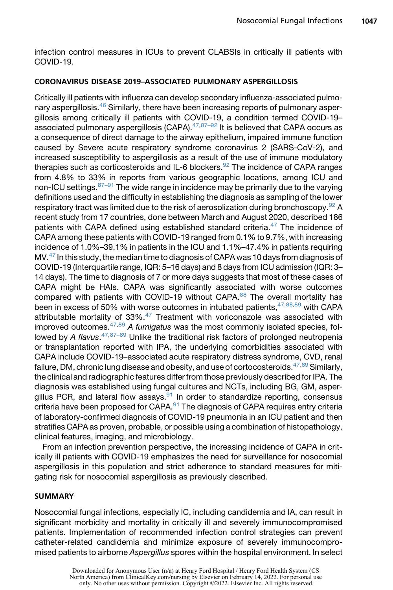infection control measures in ICUs to prevent CLABSIs in critically ill patients with COVID-19.

#### CORONAVIRUS DISEASE 2019–ASSOCIATED PULMONARY ASPERGILLOSIS

Critically ill patients with influenza can develop secondary influenza-associated pulmo-nary aspergillosis.<sup>[46](#page-24-17)</sup> Similarly, there have been increasing reports of pulmonary aspergillosis among critically ill patients with COVID-19, a condition termed COVID-19– associated pulmonary aspergillosis (CAPA). $47,87-92$  $47,87-92$  It is believed that CAPA occurs as a consequence of direct damage to the airway epithelium, impaired immune function caused by Severe acute respiratory syndrome coronavirus 2 (SARS-CoV-2), and increased susceptibility to aspergillosis as a result of the use of immune modulatory therapies such as corticosteroids and IL-6 blockers. $92$  The incidence of CAPA ranges from 4.8% to 33% in reports from various geographic locations, among ICU and non-ICU settings. $87-91$  The wide range in incidence may be primarily due to the varying definitions used and the difficulty in establishing the diagnosis as sampling of the lower respiratory tract was limited due to the risk of aerosolization during bronchoscopy.  $92$  A recent study from 17 countries, done between March and August 2020, described 186 patients with CAPA defined using established standard criteria. $47$  The incidence of CAPA among these patients with COVID-19 ranged from 0.1% to 9.7%, with increasing incidence of 1.0%–39.1% in patients in the ICU and 1.1%–47.4% in patients requiring MV.<sup>[47](#page-24-18)</sup> In this study, the median time to diagnosis of CAPA was 10 days from diagnosis of COVID-19 (Interquartile range, IQR: 5–16 days) and 8 days from ICU admission (IQR: 3– 14 days). The time to diagnosis of 7 or more days suggests that most of these cases of CAPA might be HAIs. CAPA was significantly associated with worse outcomes compared with patients with COVID-19 without CAPA.<sup>[88](#page-27-3)</sup> The overall mortality has been in excess of 50% with worse outcomes in intubated patients,  $47,88,89$  $47,88,89$  $47,88,89$  with CAPA attributable mortality of 33%.<sup>[47](#page-24-18)</sup> Treatment with voriconazole was associated with improved outcomes.[47](#page-24-18)[,89](#page-27-4) *A fumigatus* was the most commonly isolated species, followed by *A flavus*. [47,](#page-24-18)[87–89](#page-27-1) Unlike the traditional risk factors of prolonged neutropenia or transplantation reported with IPA, the underlying comorbidities associated with CAPA include COVID-19–associated acute respiratory distress syndrome, CVD, renal failure, DM, chronic lung disease and obesity, and use of cortocosteroids.  $47,89$  $47,89$  Similarly, the clinical and radiographic features differ from those previously described for IPA. The diagnosis was established using fungal cultures and NCTs, including BG, GM, asper-gillus PCR, and lateral flow assays.<sup>[91](#page-27-5)</sup> In order to standardize reporting, consensus criteria have been proposed for CAPA.<sup>[91](#page-27-5)</sup> The diagnosis of CAPA requires entry criteria of laboratory-confirmed diagnosis of COVID-19 pneumonia in an ICU patient and then stratifies CAPA as proven, probable, or possible using a combination of histopathology, clinical features, imaging, and microbiology.

From an infection prevention perspective, the increasing incidence of CAPA in critically ill patients with COVID-19 emphasizes the need for surveillance for nosocomial aspergillosis in this population and strict adherence to standard measures for mitigating risk for nosocomial aspergillosis as previously described.

#### SUMMARY

Nosocomial fungal infections, especially IC, including candidemia and IA, can result in significant morbidity and mortality in critically ill and severely immunocompromised patients. Implementation of recommended infection control strategies can prevent catheter-related candidemia and minimize exposure of severely immunocompromised patients to airborne *Aspergillus* spores within the hospital environment. In select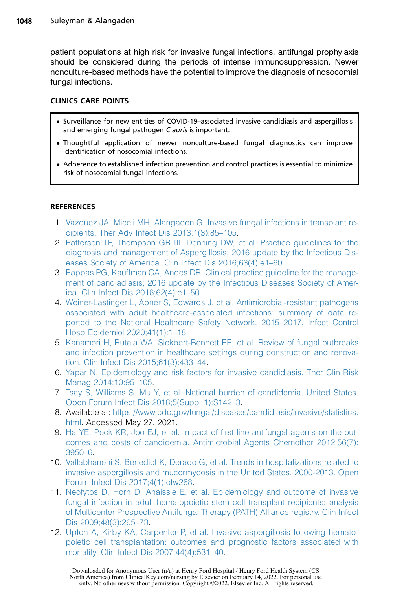patient populations at high risk for invasive fungal infections, antifungal prophylaxis should be considered during the periods of intense immunosuppression. Newer nonculture-based methods have the potential to improve the diagnosis of nosocomial fungal infections.

#### CLINICS CARE POINTS

- Surveillance for new entities of COVID-19–associated invasive candidiasis and aspergillosis and emerging fungal pathogen C auris is important.
- Thoughtful application of newer nonculture-based fungal diagnostics can improve identification of nosocomial infections.
- Adherence to established infection prevention and control practices is essential to minimize risk of nosocomial fungal infections.

#### <span id="page-22-0"></span>**REFERENCES**

- 1. [Vazquez JA, Miceli MH, Alangaden G. Invasive fungal infections in transplant re](http://refhub.elsevier.com/S0891-5520(21)00075-1/sref1)[cipients. Ther Adv Infect Dis 2013;1\(3\):85–105](http://refhub.elsevier.com/S0891-5520(21)00075-1/sref1).
- <span id="page-22-11"></span>2. [Patterson TF, Thompson GR III, Denning DW, et al. Practice guidelines for the](http://refhub.elsevier.com/S0891-5520(21)00075-1/sref2) [diagnosis and management of Aspergillosis: 2016 update by the Infectious Dis](http://refhub.elsevier.com/S0891-5520(21)00075-1/sref2)[eases Society of America. Clin Infect Dis 2016;63\(4\):e1–60](http://refhub.elsevier.com/S0891-5520(21)00075-1/sref2).
- <span id="page-22-1"></span>3. [Pappas PG, Kauffman CA, Andes DR. Clinical practice guideline for the manage](http://refhub.elsevier.com/S0891-5520(21)00075-1/sref3)[ment of candiadiasis; 2016 update by the Infectious Diseases Society of Amer](http://refhub.elsevier.com/S0891-5520(21)00075-1/sref3)[ica. Clin Infect Dis 2016;62\(4\):e1–50](http://refhub.elsevier.com/S0891-5520(21)00075-1/sref3).
- <span id="page-22-2"></span>4. [Weiner-Lastinger L, Abner S, Edwards J, et al. Antimicrobial-resistant pathogens](http://refhub.elsevier.com/S0891-5520(21)00075-1/sref4) [associated with adult healthcare-associated infections: summary of data re](http://refhub.elsevier.com/S0891-5520(21)00075-1/sref4)[ported to the National Healthcare Safety Network, 2015–2017. Infect Control](http://refhub.elsevier.com/S0891-5520(21)00075-1/sref4) [Hosp Epidemiol 2020;41\(1\):1–18](http://refhub.elsevier.com/S0891-5520(21)00075-1/sref4).
- <span id="page-22-3"></span>5. [Kanamori H, Rutala WA, Sickbert-Bennett EE, et al. Review of fungal outbreaks](http://refhub.elsevier.com/S0891-5520(21)00075-1/sref5) [and infection prevention in healthcare settings during construction and renova](http://refhub.elsevier.com/S0891-5520(21)00075-1/sref5)[tion. Clin Infect Dis 2015;61\(3\):433–44.](http://refhub.elsevier.com/S0891-5520(21)00075-1/sref5)
- <span id="page-22-4"></span>6. [Yapar N. Epidemiology and risk factors for invasive candidiasis. Ther Clin Risk](http://refhub.elsevier.com/S0891-5520(21)00075-1/sref6) [Manag 2014;10:95–105](http://refhub.elsevier.com/S0891-5520(21)00075-1/sref6).
- <span id="page-22-5"></span>7. [Tsay S, Williams S, Mu Y, et al. National burden of candidemia, United States.](http://refhub.elsevier.com/S0891-5520(21)00075-1/sref7) [Open Forum Infect Dis 2018;5\(Suppl 1\):S142–3](http://refhub.elsevier.com/S0891-5520(21)00075-1/sref7).
- <span id="page-22-6"></span>8. Available at: [https://www.cdc.gov/fungal/diseases/candidiasis/invasive/statistics.](https://www.cdc.gov/fungal/diseases/candidiasis/invasive/statistics.html) [html](https://www.cdc.gov/fungal/diseases/candidiasis/invasive/statistics.html). Accessed May 27, 2021.
- <span id="page-22-7"></span>9. [Ha YE, Peck KR, Joo EJ, et al. Impact of first-line antifungal agents on the out](http://refhub.elsevier.com/S0891-5520(21)00075-1/sref9)[comes and costs of candidemia. Antimicrobial Agents Chemother 2012;56\(7\):](http://refhub.elsevier.com/S0891-5520(21)00075-1/sref9) [3950–6.](http://refhub.elsevier.com/S0891-5520(21)00075-1/sref9)
- <span id="page-22-8"></span>10. [Vallabhaneni S, Benedict K, Derado G, et al. Trends in hospitalizations related to](http://refhub.elsevier.com/S0891-5520(21)00075-1/sref10) [invasive aspergillosis and mucormycosis in the United States, 2000-2013. Open](http://refhub.elsevier.com/S0891-5520(21)00075-1/sref10) [Forum Infect Dis 2017;4\(1\):ofw268](http://refhub.elsevier.com/S0891-5520(21)00075-1/sref10).
- <span id="page-22-9"></span>11. [Neofytos D, Horn D, Anaissie E, et al. Epidemiology and outcome of invasive](http://refhub.elsevier.com/S0891-5520(21)00075-1/sref11) [fungal infection in adult hematopoietic stem cell transplant recipients: analysis](http://refhub.elsevier.com/S0891-5520(21)00075-1/sref11) [of Multicenter Prospective Antifungal Therapy \(PATH\) Alliance registry. Clin Infect](http://refhub.elsevier.com/S0891-5520(21)00075-1/sref11) [Dis 2009;48\(3\):265–73](http://refhub.elsevier.com/S0891-5520(21)00075-1/sref11).
- <span id="page-22-10"></span>12. [Upton A, Kirby KA, Carpenter P, et al. Invasive aspergillosis following hemato](http://refhub.elsevier.com/S0891-5520(21)00075-1/sref12)[poietic cell transplantation: outcomes and prognostic factors associated with](http://refhub.elsevier.com/S0891-5520(21)00075-1/sref12) [mortality. Clin Infect Dis 2007;44\(4\):531–40](http://refhub.elsevier.com/S0891-5520(21)00075-1/sref12).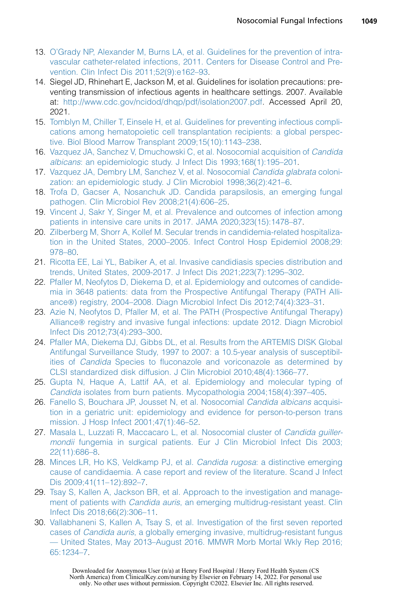- <span id="page-23-0"></span>13. [O'Grady NP, Alexander M, Burns LA, et al. Guidelines for the prevention of intra](http://refhub.elsevier.com/S0891-5520(21)00075-1/sref13)[vascular catheter-related infections, 2011. Centers for Disease Control and Pre](http://refhub.elsevier.com/S0891-5520(21)00075-1/sref13)[vention. Clin Infect Dis 2011;52\(9\):e162–93](http://refhub.elsevier.com/S0891-5520(21)00075-1/sref13).
- <span id="page-23-16"></span>14. Siegel JD, Rhinehart E, Jackson M, et al. Guidelines for isolation precautions: preventing transmission of infectious agents in healthcare settings. 2007. Available at: <http://www.cdc.gov/ncidod/dhqp/pdf/isolation2007.pdf>. Accessed April 20, 2021.
- <span id="page-23-17"></span>15. [Tomblyn M, Chiller T, Einsele H, et al. Guidelines for preventing infectious compli](http://refhub.elsevier.com/S0891-5520(21)00075-1/sref15)[cations among hematopoietic cell transplantation recipients: a global perspec](http://refhub.elsevier.com/S0891-5520(21)00075-1/sref15)[tive. Biol Blood Marrow Transplant 2009;15\(10\):1143–238](http://refhub.elsevier.com/S0891-5520(21)00075-1/sref15).
- <span id="page-23-1"></span>16. [Vazquez JA, Sanchez V, Dmuchowski C, et al. Nosocomial acquisition of](http://refhub.elsevier.com/S0891-5520(21)00075-1/sref16) Candida albicans[: an epidemiologic study. J Infect Dis 1993;168\(1\):195–201.](http://refhub.elsevier.com/S0891-5520(21)00075-1/sref16)
- <span id="page-23-2"></span>17. [Vazquez JA, Dembry LM, Sanchez V, et al. Nosocomial](http://refhub.elsevier.com/S0891-5520(21)00075-1/sref17) Candida glabrata coloni[zation: an epidemiologic study. J Clin Microbiol 1998;36\(2\):421–6.](http://refhub.elsevier.com/S0891-5520(21)00075-1/sref17)
- <span id="page-23-3"></span>18. [Trofa D, Gacser A, Nosanchuk JD. Candida parapsilosis, an emerging fungal](http://refhub.elsevier.com/S0891-5520(21)00075-1/sref18) [pathogen. Clin Microbiol Rev 2008;21\(4\):606–25.](http://refhub.elsevier.com/S0891-5520(21)00075-1/sref18)
- <span id="page-23-4"></span>19. [Vincent J, Sakr Y, Singer M, et al. Prevalence and outcomes of infection among](http://refhub.elsevier.com/S0891-5520(21)00075-1/sref19) [patients in intensive care units in 2017. JAMA 2020;323\(15\):1478–87](http://refhub.elsevier.com/S0891-5520(21)00075-1/sref19).
- <span id="page-23-5"></span>20. [Zilberberg M, Shorr A, Kollef M. Secular trends in candidemia-related hospitaliza](http://refhub.elsevier.com/S0891-5520(21)00075-1/sref20)[tion in the United States, 2000–2005. Infect Control Hosp Epidemiol 2008;29:](http://refhub.elsevier.com/S0891-5520(21)00075-1/sref20) [978–80.](http://refhub.elsevier.com/S0891-5520(21)00075-1/sref20)
- <span id="page-23-6"></span>21. [Ricotta EE, Lai YL, Babiker A, et al. Invasive candidiasis species distribution and](http://refhub.elsevier.com/S0891-5520(21)00075-1/sref21) [trends, United States, 2009-2017. J Infect Dis 2021;223\(7\):1295–302.](http://refhub.elsevier.com/S0891-5520(21)00075-1/sref21)
- <span id="page-23-7"></span>22. [Pfaller M, Neofytos D, Diekema D, et al. Epidemiology and outcomes of candide](http://refhub.elsevier.com/S0891-5520(21)00075-1/sref22)[mia in 3648 patients: data from the Prospective Antifungal Therapy \(PATH Alli](http://refhub.elsevier.com/S0891-5520(21)00075-1/sref22)[ance](http://refhub.elsevier.com/S0891-5520(21)00075-1/sref22)®[\) registry, 2004–2008. Diagn Microbiol Infect Dis 2012;74\(4\):323–31](http://refhub.elsevier.com/S0891-5520(21)00075-1/sref22).
- <span id="page-23-8"></span>23. [Azie N, Neofytos D, Pfaller M, et al. The PATH \(Prospective Antifungal Therapy\)](http://refhub.elsevier.com/S0891-5520(21)00075-1/sref23) [Alliance](http://refhub.elsevier.com/S0891-5520(21)00075-1/sref23)® [registry and invasive fungal infections: update 2012. Diagn Microbiol](http://refhub.elsevier.com/S0891-5520(21)00075-1/sref23) [Infect Dis 2012;73\(4\):293–300.](http://refhub.elsevier.com/S0891-5520(21)00075-1/sref23)
- <span id="page-23-9"></span>24. [Pfaller MA, Diekema DJ, Gibbs DL, et al. Results from the ARTEMIS DISK Global](http://refhub.elsevier.com/S0891-5520(21)00075-1/sref24) [Antifungal Surveillance Study, 1997 to 2007: a 10.5-year analysis of susceptibil](http://refhub.elsevier.com/S0891-5520(21)00075-1/sref24)ities of Candida [Species to fluconazole and voriconazole as determined by](http://refhub.elsevier.com/S0891-5520(21)00075-1/sref24) [CLSI standardized disk diffusion. J Clin Microbiol 2010;48\(4\):1366–77.](http://refhub.elsevier.com/S0891-5520(21)00075-1/sref24)
- <span id="page-23-10"></span>25. [Gupta N, Haque A, Lattif AA, et al. Epidemiology and molecular typing of](http://refhub.elsevier.com/S0891-5520(21)00075-1/sref25) Candida [isolates from burn patients. Mycopathologia 2004;158\(4\):397–405.](http://refhub.elsevier.com/S0891-5520(21)00075-1/sref25)
- <span id="page-23-11"></span>26. [Fanello S, Bouchara JP, Jousset N, et al. Nosocomial](http://refhub.elsevier.com/S0891-5520(21)00075-1/sref26) Candida albicans acquisi[tion in a geriatric unit: epidemiology and evidence for person-to-person trans](http://refhub.elsevier.com/S0891-5520(21)00075-1/sref26) [mission. J Hosp Infect 2001;47\(1\):46–52.](http://refhub.elsevier.com/S0891-5520(21)00075-1/sref26)
- <span id="page-23-12"></span>27. [Masala L, Luzzati R, Maccacaro L, et al. Nosocomial cluster of](http://refhub.elsevier.com/S0891-5520(21)00075-1/sref27) Candida guillermondii [fungemia in surgical patients. Eur J Clin Microbiol Infect Dis 2003;](http://refhub.elsevier.com/S0891-5520(21)00075-1/sref27) [22\(11\):686–8](http://refhub.elsevier.com/S0891-5520(21)00075-1/sref27).
- <span id="page-23-13"></span>28. [Minces LR, Ho KS, Veldkamp PJ, et al.](http://refhub.elsevier.com/S0891-5520(21)00075-1/sref28) Candida rugosa: a distinctive emerging [cause of candidaemia. A case report and review of the literature. Scand J Infect](http://refhub.elsevier.com/S0891-5520(21)00075-1/sref28) [Dis 2009;41\(11–12\):892–7.](http://refhub.elsevier.com/S0891-5520(21)00075-1/sref28)
- <span id="page-23-14"></span>29. [Tsay S, Kallen A, Jackson BR, et al. Approach to the investigation and manage-](http://refhub.elsevier.com/S0891-5520(21)00075-1/sref29)ment of patients with Candida auris[, an emerging multidrug-resistant yeast. Clin](http://refhub.elsevier.com/S0891-5520(21)00075-1/sref29) [Infect Dis 2018;66\(2\):306–11.](http://refhub.elsevier.com/S0891-5520(21)00075-1/sref29)
- <span id="page-23-15"></span>30. [Vallabhaneni S, Kallen A, Tsay S, et al. Investigation of the first seven reported](http://refhub.elsevier.com/S0891-5520(21)00075-1/sref30) cases of Candida auris[, a globally emerging invasive, multidrug-resistant fungus](http://refhub.elsevier.com/S0891-5520(21)00075-1/sref30) [— United States, May 2013–August 2016. MMWR Morb Mortal Wkly Rep 2016;](http://refhub.elsevier.com/S0891-5520(21)00075-1/sref30) [65:1234–7](http://refhub.elsevier.com/S0891-5520(21)00075-1/sref30).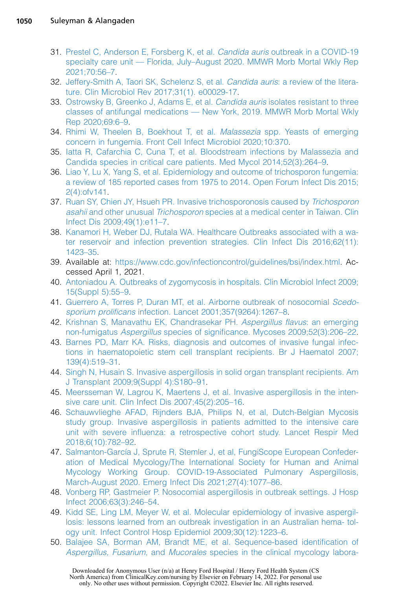- <span id="page-24-0"></span>31. [Prestel C, Anderson E, Forsberg K, et al.](http://refhub.elsevier.com/S0891-5520(21)00075-1/sref31) Candida auris outbreak in a COVID-19 [specialty care unit — Florida, July–August 2020. MMWR Morb Mortal Wkly Rep](http://refhub.elsevier.com/S0891-5520(21)00075-1/sref31) [2021;70:56–7](http://refhub.elsevier.com/S0891-5520(21)00075-1/sref31).
- <span id="page-24-1"></span>32. [Jeffery-Smith A, Taori SK, Schelenz S, et al.](http://refhub.elsevier.com/S0891-5520(21)00075-1/sref32) Candida auris: a review of the litera[ture. Clin Microbiol Rev 2017;31\(1\). e00029-17.](http://refhub.elsevier.com/S0891-5520(21)00075-1/sref32)
- 33. [Ostrowsky B, Greenko J, Adams E, et al.](http://refhub.elsevier.com/S0891-5520(21)00075-1/sref33) *Candida auris* isolates resistant to three [classes of antifungal medications — New York, 2019. MMWR Morb Mortal Wkly](http://refhub.elsevier.com/S0891-5520(21)00075-1/sref33) [Rep 2020;69:6–9.](http://refhub.elsevier.com/S0891-5520(21)00075-1/sref33)
- <span id="page-24-2"></span>34. [Rhimi W, Theelen B, Boekhout T, et al.](http://refhub.elsevier.com/S0891-5520(21)00075-1/sref34) Malassezia spp. Yeasts of emerging [concern in fungemia. Front Cell Infect Microbiol 2020;10:370.](http://refhub.elsevier.com/S0891-5520(21)00075-1/sref34)
- <span id="page-24-3"></span>35. [Iatta R, Cafarchia C, Cuna T, et al. Bloodstream infections by Malassezia and](http://refhub.elsevier.com/S0891-5520(21)00075-1/sref35) [Candida species in critical care patients. Med Mycol 2014;52\(3\):264–9.](http://refhub.elsevier.com/S0891-5520(21)00075-1/sref35)
- <span id="page-24-4"></span>36. [Liao Y, Lu X, Yang S, et al. Epidemiology and outcome of trichosporon fungemia:](http://refhub.elsevier.com/S0891-5520(21)00075-1/sref36) [a review of 185 reported cases from 1975 to 2014. Open Forum Infect Dis 2015;](http://refhub.elsevier.com/S0891-5520(21)00075-1/sref36) [2\(4\):ofv141.](http://refhub.elsevier.com/S0891-5520(21)00075-1/sref36)
- <span id="page-24-5"></span>37. [Ruan SY, Chien JY, Hsueh PR. Invasive trichosporonosis caused by](http://refhub.elsevier.com/S0891-5520(21)00075-1/sref37) Trichosporon asahii and other unusual Trichosporon [species at a medical center in Taiwan. Clin](http://refhub.elsevier.com/S0891-5520(21)00075-1/sref37) [Infect Dis 2009;49\(1\):e11–7.](http://refhub.elsevier.com/S0891-5520(21)00075-1/sref37)
- <span id="page-24-6"></span>38. [Kanamori H, Weber DJ, Rutala WA. Healthcare Outbreaks associated with a wa](http://refhub.elsevier.com/S0891-5520(21)00075-1/sref38)[ter reservoir and infection prevention strategies. Clin Infect Dis 2016;62\(11\):](http://refhub.elsevier.com/S0891-5520(21)00075-1/sref38) [1423–35.](http://refhub.elsevier.com/S0891-5520(21)00075-1/sref38)
- <span id="page-24-7"></span>39. Available at: [https://www.cdc.gov/infectioncontrol/guidelines/bsi/index.html.](https://www.cdc.gov/infectioncontrol/guidelines/bsi/index.html) Accessed April 1, 2021.
- <span id="page-24-8"></span>40. [Antoniadou A. Outbreaks of zygomycosis in hospitals. Clin Microbiol Infect 2009;](http://refhub.elsevier.com/S0891-5520(21)00075-1/sref40) [15\(Suppl 5\):55–9](http://refhub.elsevier.com/S0891-5520(21)00075-1/sref40).
- <span id="page-24-9"></span>41. [Guerrero A, Torres P, Duran MT, et al. Airborne outbreak of nosocomial](http://refhub.elsevier.com/S0891-5520(21)00075-1/sref41) Scedosporium prolificans infection. Lancet 2001;357(9264):1267-8.
- <span id="page-24-10"></span>42. [Krishnan S, Manavathu EK, Chandrasekar PH.](http://refhub.elsevier.com/S0891-5520(21)00075-1/sref42) Aspergillus flavus: an emerging non-fumigatus Aspergillus [species of significance. Mycoses 2009;52\(3\):206–22.](http://refhub.elsevier.com/S0891-5520(21)00075-1/sref42)
- <span id="page-24-11"></span>43. [Barnes PD, Marr KA. Risks, diagnosis and outcomes of invasive fungal infec](http://refhub.elsevier.com/S0891-5520(21)00075-1/sref43)[tions in haematopoietic stem cell transplant recipients. Br J Haematol 2007;](http://refhub.elsevier.com/S0891-5520(21)00075-1/sref43) [139\(4\):519–31.](http://refhub.elsevier.com/S0891-5520(21)00075-1/sref43)
- <span id="page-24-12"></span>44. [Singh N, Husain S. Invasive aspergillosis in solid organ transplant recipients. Am](http://refhub.elsevier.com/S0891-5520(21)00075-1/sref44) [J Transplant 2009;9\(Suppl 4\):S180–91](http://refhub.elsevier.com/S0891-5520(21)00075-1/sref44).
- <span id="page-24-13"></span>45. [Meersseman W, Lagrou K, Maertens J, et al. Invasive aspergillosis in the inten](http://refhub.elsevier.com/S0891-5520(21)00075-1/sref45)[sive care unit. Clin Infect Dis 2007;45\(2\):205–16](http://refhub.elsevier.com/S0891-5520(21)00075-1/sref45).
- <span id="page-24-17"></span>46. [Schauwvlieghe AFAD, Rijnders BJA, Philips N, et al, Dutch-Belgian Mycosis](http://refhub.elsevier.com/S0891-5520(21)00075-1/sref46) [study group. Invasive aspergillosis in patients admitted to the intensive care](http://refhub.elsevier.com/S0891-5520(21)00075-1/sref46) [unit with severe influenza: a retrospective cohort study. Lancet Respir Med](http://refhub.elsevier.com/S0891-5520(21)00075-1/sref46) [2018;6\(10\):782–92](http://refhub.elsevier.com/S0891-5520(21)00075-1/sref46).
- <span id="page-24-18"></span>47. Salmanton-García J, Sprute R, Stemler J, et al, FungiScope European Confeder[ation of Medical Mycology/The International Society for Human and Animal](http://refhub.elsevier.com/S0891-5520(21)00075-1/sref47) [Mycology Working Group. COVID-19-Associated Pulmonary Aspergillosis,](http://refhub.elsevier.com/S0891-5520(21)00075-1/sref47) [March-August 2020. Emerg Infect Dis 2021;27\(4\):1077–86.](http://refhub.elsevier.com/S0891-5520(21)00075-1/sref47)
- <span id="page-24-14"></span>48. [Vonberg RP, Gastmeier P. Nosocomial aspergillosis in outbreak settings. J Hosp](http://refhub.elsevier.com/S0891-5520(21)00075-1/sref48) [Infect 2006;63\(3\):246–54.](http://refhub.elsevier.com/S0891-5520(21)00075-1/sref48)
- <span id="page-24-15"></span>49. [Kidd SE, Ling LM, Meyer W, et al. Molecular epidemiology of invasive aspergil](http://refhub.elsevier.com/S0891-5520(21)00075-1/sref49)[losis: lessons learned from an outbreak investigation in an Australian hema- tol](http://refhub.elsevier.com/S0891-5520(21)00075-1/sref49)[ogy unit. Infect Control Hosp Epidemiol 2009;30\(12\):1223–6](http://refhub.elsevier.com/S0891-5520(21)00075-1/sref49).
- <span id="page-24-16"></span>50. [Balajee SA, Borman AM, Brandt ME, et al. Sequence-based identification of](http://refhub.elsevier.com/S0891-5520(21)00075-1/sref50) Aspergillus, Fusarium, and Mucorales [species in the clinical mycology labora-](http://refhub.elsevier.com/S0891-5520(21)00075-1/sref50)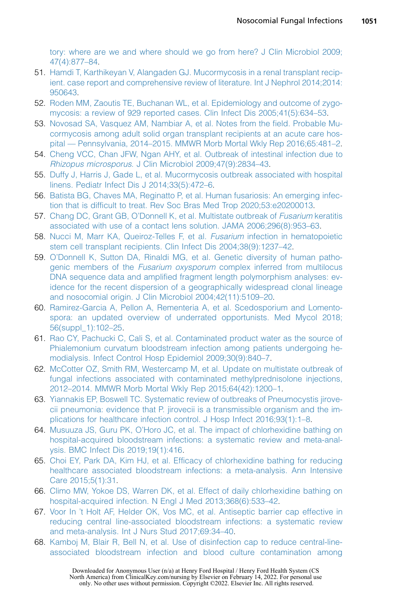[tory: where are we and where should we go from here? J Clin Microbiol 2009;](http://refhub.elsevier.com/S0891-5520(21)00075-1/sref50) [47\(4\):877–84](http://refhub.elsevier.com/S0891-5520(21)00075-1/sref50).

- <span id="page-25-0"></span>51. [Hamdi T, Karthikeyan V, Alangaden GJ. Mucormycosis in a renal transplant recip](http://refhub.elsevier.com/S0891-5520(21)00075-1/sref51)[ient. case report and comprehensive review of literature. Int J Nephrol 2014;2014:](http://refhub.elsevier.com/S0891-5520(21)00075-1/sref51) [950643](http://refhub.elsevier.com/S0891-5520(21)00075-1/sref51).
- <span id="page-25-1"></span>52. [Roden MM, Zaoutis TE, Buchanan WL, et al. Epidemiology and outcome of zygo](http://refhub.elsevier.com/S0891-5520(21)00075-1/sref52)[mycosis: a review of 929 reported cases. Clin Infect Dis 2005;41\(5\):634–53](http://refhub.elsevier.com/S0891-5520(21)00075-1/sref52).
- <span id="page-25-2"></span>53. [Novosad SA, Vasquez AM, Nambiar A, et al. Notes from the field. Probable Mu](http://refhub.elsevier.com/S0891-5520(21)00075-1/sref53)[cormycosis among adult solid organ transplant recipients at an acute care hos](http://refhub.elsevier.com/S0891-5520(21)00075-1/sref53)[pital — Pennsylvania, 2014–2015. MMWR Morb Mortal Wkly Rep 2016;65:481–2](http://refhub.elsevier.com/S0891-5520(21)00075-1/sref53).
- <span id="page-25-3"></span>54. [Cheng VCC, Chan JFW, Ngan AHY, et al. Outbreak of intestinal infection due to](http://refhub.elsevier.com/S0891-5520(21)00075-1/sref54) Rhizopus microsporus[. J Clin Microbiol 2009;47\(9\):2834–43](http://refhub.elsevier.com/S0891-5520(21)00075-1/sref54).
- <span id="page-25-4"></span>55. [Duffy J, Harris J, Gade L, et al. Mucormycosis outbreak associated with hospital](http://refhub.elsevier.com/S0891-5520(21)00075-1/sref55) [linens. Pediatr Infect Dis J 2014;33\(5\):472–6.](http://refhub.elsevier.com/S0891-5520(21)00075-1/sref55)
- <span id="page-25-5"></span>56. [Batista BG, Chaves MA, Reginatto P, et al. Human fusariosis: An emerging infec](http://refhub.elsevier.com/S0891-5520(21)00075-1/sref56)[tion that is difficult to treat. Rev Soc Bras Med Trop 2020;53:e20200013.](http://refhub.elsevier.com/S0891-5520(21)00075-1/sref56)
- <span id="page-25-6"></span>57. [Chang DC, Grant GB, O'Donnell K, et al. Multistate outbreak of](http://refhub.elsevier.com/S0891-5520(21)00075-1/sref57) Fusarium keratitis [associated with use of a contact lens solution. JAMA 2006;296\(8\):953–63](http://refhub.elsevier.com/S0891-5520(21)00075-1/sref57).
- <span id="page-25-7"></span>58. [Nucci M, Marr KA, Queiroz-Telles F, et al.](http://refhub.elsevier.com/S0891-5520(21)00075-1/sref58) Fusarium infection in hematopoietic [stem cell transplant recipients. Clin Infect Dis 2004;38\(9\):1237–42.](http://refhub.elsevier.com/S0891-5520(21)00075-1/sref58)
- <span id="page-25-8"></span>59. [O'Donnell K, Sutton DA, Rinaldi MG, et al. Genetic diversity of human patho](http://refhub.elsevier.com/S0891-5520(21)00075-1/sref59)genic members of the Fusarium oxysporum [complex inferred from multilocus](http://refhub.elsevier.com/S0891-5520(21)00075-1/sref59) [DNA sequence data and amplified fragment length polymorphism analyses: ev](http://refhub.elsevier.com/S0891-5520(21)00075-1/sref59)[idence for the recent dispersion of a geographically widespread clonal lineage](http://refhub.elsevier.com/S0891-5520(21)00075-1/sref59) [and nosocomial origin. J Clin Microbiol 2004;42\(11\):5109–20.](http://refhub.elsevier.com/S0891-5520(21)00075-1/sref59)
- <span id="page-25-9"></span>60. [Ramirez-Garcia A, Pellon A, Rementeria A, et al. Scedosporium and Lomento](http://refhub.elsevier.com/S0891-5520(21)00075-1/sref60)[spora: an updated overview of underrated opportunists. Med Mycol 2018;](http://refhub.elsevier.com/S0891-5520(21)00075-1/sref60) [56\(suppl\\_1\):102–25](http://refhub.elsevier.com/S0891-5520(21)00075-1/sref60).
- <span id="page-25-10"></span>61. [Rao CY, Pachucki C, Cali S, et al. Contaminated product water as the source of](http://refhub.elsevier.com/S0891-5520(21)00075-1/sref61) [Phialemonium curvatum bloodstream infection among patients undergoing he](http://refhub.elsevier.com/S0891-5520(21)00075-1/sref61)[modialysis. Infect Control Hosp Epidemiol 2009;30\(9\):840–7.](http://refhub.elsevier.com/S0891-5520(21)00075-1/sref61)
- <span id="page-25-11"></span>62. [McCotter OZ, Smith RM, Westercamp M, et al. Update on multistate outbreak of](http://refhub.elsevier.com/S0891-5520(21)00075-1/sref62) [fungal infections associated with contaminated methylprednisolone injections,](http://refhub.elsevier.com/S0891-5520(21)00075-1/sref62) [2012–2014. MMWR Morb Mortal Wkly Rep 2015;64\(42\):1200–1](http://refhub.elsevier.com/S0891-5520(21)00075-1/sref62).
- <span id="page-25-12"></span>63. [Yiannakis EP, Boswell TC. Systematic review of outbreaks of Pneumocystis jirove](http://refhub.elsevier.com/S0891-5520(21)00075-1/sref63)[cii pneumonia: evidence that P. jirovecii is a transmissible organism and the im](http://refhub.elsevier.com/S0891-5520(21)00075-1/sref63)[plications for healthcare infection control. J Hosp Infect 2016;93\(1\):1–8](http://refhub.elsevier.com/S0891-5520(21)00075-1/sref63).
- <span id="page-25-13"></span>64. [Musuuza JS, Guru PK, O'Horo JC, et al. The impact of chlorhexidine bathing on](http://refhub.elsevier.com/S0891-5520(21)00075-1/sref64) [hospital-acquired bloodstream infections: a systematic review and meta-anal](http://refhub.elsevier.com/S0891-5520(21)00075-1/sref64)[ysis. BMC Infect Dis 2019;19\(1\):416](http://refhub.elsevier.com/S0891-5520(21)00075-1/sref64).
- <span id="page-25-14"></span>65. [Choi EY, Park DA, Kim HJ, et al. Efficacy of chlorhexidine bathing for reducing](http://refhub.elsevier.com/S0891-5520(21)00075-1/sref65) [healthcare associated bloodstream infections: a meta-analysis. Ann Intensive](http://refhub.elsevier.com/S0891-5520(21)00075-1/sref65) [Care 2015;5\(1\):31.](http://refhub.elsevier.com/S0891-5520(21)00075-1/sref65)
- <span id="page-25-16"></span><span id="page-25-15"></span>66. [Climo MW, Yokoe DS, Warren DK, et al. Effect of daily chlorhexidine bathing on](http://refhub.elsevier.com/S0891-5520(21)00075-1/sref66) [hospital-acquired infection. N Engl J Med 2013;368\(6\):533–42.](http://refhub.elsevier.com/S0891-5520(21)00075-1/sref66)
- 67. [Voor In 't Holt AF, Helder OK, Vos MC, et al. Antiseptic barrier cap effective in](http://refhub.elsevier.com/S0891-5520(21)00075-1/sref67) [reducing central line-associated bloodstream infections: a systematic review](http://refhub.elsevier.com/S0891-5520(21)00075-1/sref67) [and meta-analysis. Int J Nurs Stud 2017;69:34–40.](http://refhub.elsevier.com/S0891-5520(21)00075-1/sref67)
- <span id="page-25-17"></span>68. [Kamboj M, Blair R, Bell N, et al. Use of disinfection cap to reduce central-line](http://refhub.elsevier.com/S0891-5520(21)00075-1/sref68)[associated bloodstream infection and blood culture contamination among](http://refhub.elsevier.com/S0891-5520(21)00075-1/sref68)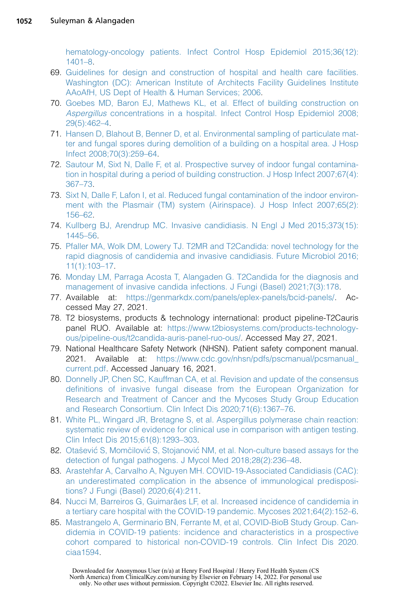[hematology-oncology patients. Infect Control Hosp Epidemiol 2015;36\(12\):](http://refhub.elsevier.com/S0891-5520(21)00075-1/sref68) [1401–8.](http://refhub.elsevier.com/S0891-5520(21)00075-1/sref68)

- <span id="page-26-0"></span>69. [Guidelines for design and construction of hospital and health care facilities.](http://refhub.elsevier.com/S0891-5520(21)00075-1/sref69) [Washington \(DC\): American Institute of Architects Facility Guidelines Institute](http://refhub.elsevier.com/S0891-5520(21)00075-1/sref69) [AAoAfH, US Dept of Health & Human Services; 2006.](http://refhub.elsevier.com/S0891-5520(21)00075-1/sref69)
- <span id="page-26-1"></span>70. [Goebes MD, Baron EJ, Mathews KL, et al. Effect of building construction on](http://refhub.elsevier.com/S0891-5520(21)00075-1/sref70) Aspergillus [concentrations in a hospital. Infect Control Hosp Epidemiol 2008;](http://refhub.elsevier.com/S0891-5520(21)00075-1/sref70) [29\(5\):462–4.](http://refhub.elsevier.com/S0891-5520(21)00075-1/sref70)
- <span id="page-26-2"></span>71. [Hansen D, Blahout B, Benner D, et al. Environmental sampling of particulate mat](http://refhub.elsevier.com/S0891-5520(21)00075-1/sref71)[ter and fungal spores during demolition of a building on a hospital area. J Hosp](http://refhub.elsevier.com/S0891-5520(21)00075-1/sref71) [Infect 2008;70\(3\):259–64.](http://refhub.elsevier.com/S0891-5520(21)00075-1/sref71)
- <span id="page-26-3"></span>72. [Sautour M, Sixt N, Dalle F, et al. Prospective survey of indoor fungal contamina](http://refhub.elsevier.com/S0891-5520(21)00075-1/sref72)[tion in hospital during a period of building construction. J Hosp Infect 2007;67\(4\):](http://refhub.elsevier.com/S0891-5520(21)00075-1/sref72) [367–73.](http://refhub.elsevier.com/S0891-5520(21)00075-1/sref72)
- <span id="page-26-4"></span>73. [Sixt N, Dalle F, Lafon I, et al. Reduced fungal contamination of the indoor environ](http://refhub.elsevier.com/S0891-5520(21)00075-1/sref73)[ment with the Plasmair \(TM\) system \(Airinspace\). J Hosp Infect 2007;65\(2\):](http://refhub.elsevier.com/S0891-5520(21)00075-1/sref73) [156–62.](http://refhub.elsevier.com/S0891-5520(21)00075-1/sref73)
- <span id="page-26-5"></span>74. [Kullberg BJ, Arendrup MC. Invasive candidiasis. N Engl J Med 2015;373\(15\):](http://refhub.elsevier.com/S0891-5520(21)00075-1/sref74) [1445–56.](http://refhub.elsevier.com/S0891-5520(21)00075-1/sref74)
- <span id="page-26-6"></span>75. [Pfaller MA, Wolk DM, Lowery TJ. T2MR and T2Candida: novel technology for the](http://refhub.elsevier.com/S0891-5520(21)00075-1/sref75) [rapid diagnosis of candidemia and invasive candidiasis. Future Microbiol 2016;](http://refhub.elsevier.com/S0891-5520(21)00075-1/sref75) [11\(1\):103–17.](http://refhub.elsevier.com/S0891-5520(21)00075-1/sref75)
- <span id="page-26-7"></span>76. [Monday LM, Parraga Acosta T, Alangaden G. T2Candida for the diagnosis and](http://refhub.elsevier.com/S0891-5520(21)00075-1/sref76) [management of invasive candida infections. J Fungi \(Basel\) 2021;7\(3\):178.](http://refhub.elsevier.com/S0891-5520(21)00075-1/sref76)
- <span id="page-26-8"></span>77. Available at: [https://genmarkdx.com/panels/eplex-panels/bcid-panels/.](https://genmarkdx.com/panels/eplex-panels/bcid-panels/) Accessed May 27, 2021.
- <span id="page-26-9"></span>78. T2 biosystems, products & technology international: product pipeline-T2Cauris panel RUO. Available at: [https://www.t2biosystems.com/products-technology](https://www.t2biosystems.com/products-technology-ous/pipeline-ous/t2candida-auris-panel-ruo-ous/)[ous/pipeline-ous/t2candida-auris-panel-ruo-ous/.](https://www.t2biosystems.com/products-technology-ous/pipeline-ous/t2candida-auris-panel-ruo-ous/) Accessed May 27, 2021.
- <span id="page-26-10"></span>79. National Healthcare Safety Network (NHSN). Patient safety component manual. 2021. Available at: [https://www.cdc.gov/nhsn/pdfs/pscmanual/pcsmanual\\_](https://www.cdc.gov/nhsn/pdfs/pscmanual/pcsmanual_current.pdf) [current.pdf.](https://www.cdc.gov/nhsn/pdfs/pscmanual/pcsmanual_current.pdf) Accessed January 16, 2021.
- <span id="page-26-11"></span>80. [Donnelly JP, Chen SC, Kauffman CA, et al. Revision and update of the consensus](http://refhub.elsevier.com/S0891-5520(21)00075-1/sref80) [definitions of invasive fungal disease from the European Organization for](http://refhub.elsevier.com/S0891-5520(21)00075-1/sref80) [Research and Treatment of Cancer and the Mycoses Study Group Education](http://refhub.elsevier.com/S0891-5520(21)00075-1/sref80) [and Research Consortium. Clin Infect Dis 2020;71\(6\):1367–76.](http://refhub.elsevier.com/S0891-5520(21)00075-1/sref80)
- <span id="page-26-13"></span>81. [White PL, Wingard JR, Bretagne S, et al. Aspergillus polymerase chain reaction:](http://refhub.elsevier.com/S0891-5520(21)00075-1/sref81) [systematic review of evidence for clinical use in comparison with antigen testing.](http://refhub.elsevier.com/S0891-5520(21)00075-1/sref81) [Clin Infect Dis 2015;61\(8\):1293–303.](http://refhub.elsevier.com/S0891-5520(21)00075-1/sref81)
- <span id="page-26-14"></span><span id="page-26-12"></span>82. [Ota](http://refhub.elsevier.com/S0891-5520(21)00075-1/sref82)šević S, Momčilović S, Stojanović NM, et al. Non-culture based assays for the [detection of fungal pathogens. J Mycol Med 2018;28\(2\):236–48](http://refhub.elsevier.com/S0891-5520(21)00075-1/sref82).
- 83. [Arastehfar A, Carvalho A, Nguyen MH. COVID-19-Associated Candidiasis \(CAC\):](http://refhub.elsevier.com/S0891-5520(21)00075-1/sref83) [an underestimated complication in the absence of immunological predisposi](http://refhub.elsevier.com/S0891-5520(21)00075-1/sref83)[tions? J Fungi \(Basel\) 2020;6\(4\):211](http://refhub.elsevier.com/S0891-5520(21)00075-1/sref83).
- <span id="page-26-15"></span>84. Nucci M, Barreiros G, Guimarães LF, et al. Increased incidence of candidemia in [a tertiary care hospital with the COVID-19 pandemic. Mycoses 2021;64\(2\):152–6.](http://refhub.elsevier.com/S0891-5520(21)00075-1/sref84)
- 85. [Mastrangelo A, Germinario BN, Ferrante M, et al, COVID-BioB Study Group. Can](http://refhub.elsevier.com/S0891-5520(21)00075-1/sref85)[didemia in COVID-19 patients: incidence and characteristics in a prospective](http://refhub.elsevier.com/S0891-5520(21)00075-1/sref85) [cohort compared to historical non-COVID-19 controls. Clin Infect Dis 2020.](http://refhub.elsevier.com/S0891-5520(21)00075-1/sref85) [ciaa1594.](http://refhub.elsevier.com/S0891-5520(21)00075-1/sref85)